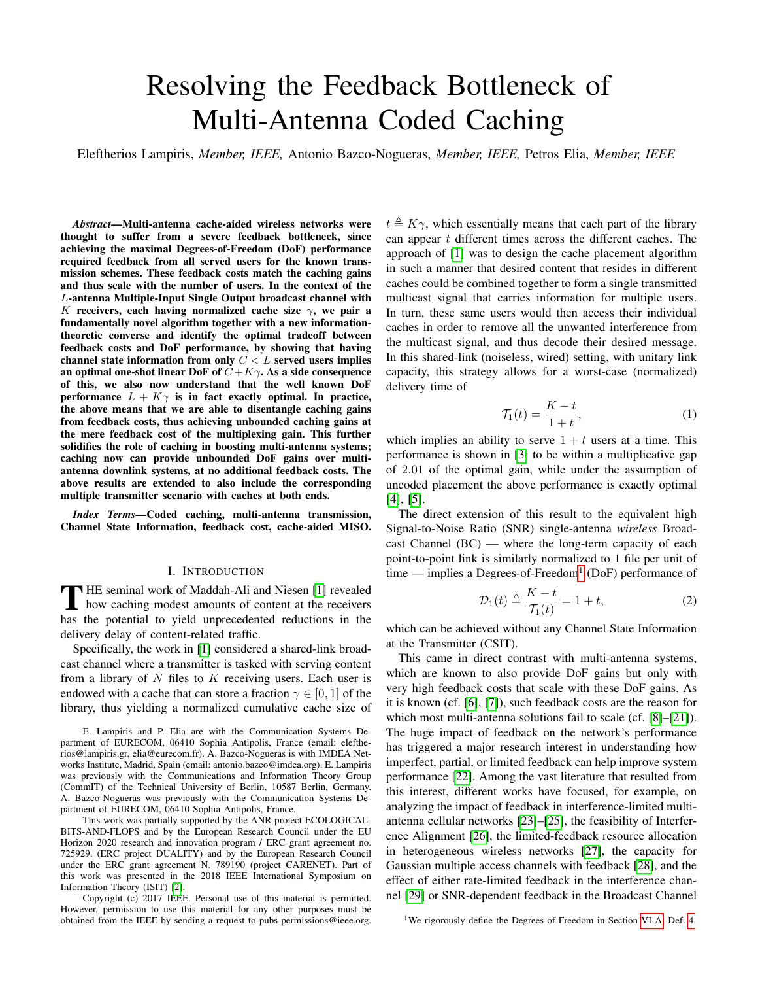# Resolving the Feedback Bottleneck of Multi-Antenna Coded Caching

Eleftherios Lampiris, *Member, IEEE,* Antonio Bazco-Nogueras, *Member, IEEE,* Petros Elia, *Member, IEEE*

*Abstract*—Multi-antenna cache-aided wireless networks were thought to suffer from a severe feedback bottleneck, since achieving the maximal Degrees-of-Freedom (DoF) performance required feedback from all served users for the known transmission schemes. These feedback costs match the caching gains and thus scale with the number of users. In the context of the L-antenna Multiple-Input Single Output broadcast channel with K receivers, each having normalized cache size  $\gamma$ , we pair a fundamentally novel algorithm together with a new informationtheoretic converse and identify the optimal tradeoff between feedback costs and DoF performance, by showing that having channel state information from only  $C < L$  served users implies an optimal one-shot linear DoF of  $C+K\gamma$ . As a side consequence of this, we also now understand that the well known DoF performance  $L + K\gamma$  is in fact exactly optimal. In practice, the above means that we are able to disentangle caching gains from feedback costs, thus achieving unbounded caching gains at the mere feedback cost of the multiplexing gain. This further solidifies the role of caching in boosting multi-antenna systems; caching now can provide unbounded DoF gains over multiantenna downlink systems, at no additional feedback costs. The above results are extended to also include the corresponding multiple transmitter scenario with caches at both ends.

*Index Terms*—Coded caching, multi-antenna transmission, Channel State Information, feedback cost, cache-aided MISO.

### I. INTRODUCTION

THE seminal work of Maddah-Ali and Niesen [1] revealed<br>how caching modest amounts of content at the receivers<br>has the naturalistic width unancerdured naturalizes in the HE seminal work of Maddah-Ali and Niesen [\[1\]](#page-15-0) revealed has the potential to yield unprecedented reductions in the delivery delay of content-related traffic.

Specifically, the work in [\[1\]](#page-15-0) considered a shared-link broadcast channel where a transmitter is tasked with serving content from a library of  $N$  files to  $K$  receiving users. Each user is endowed with a cache that can store a fraction  $\gamma \in [0, 1]$  of the library, thus yielding a normalized cumulative cache size of

E. Lampiris and P. Elia are with the Communication Systems Department of EURECOM, 06410 Sophia Antipolis, France (email: eleftherios@lampiris.gr, elia@eurecom.fr). A. Bazco-Nogueras is with IMDEA Networks Institute, Madrid, Spain (email: antonio.bazco@imdea.org). E. Lampiris was previously with the Communications and Information Theory Group (CommIT) of the Technical University of Berlin, 10587 Berlin, Germany. A. Bazco-Nogueras was previously with the Communication Systems Department of EURECOM, 06410 Sophia Antipolis, France.

This work was partially supported by the ANR project ECOLOGICAL-BITS-AND-FLOPS and by the European Research Council under the EU Horizon 2020 research and innovation program / ERC grant agreement no. 725929. (ERC project DUALITY) and by the European Research Council under the ERC grant agreement N. 789190 (project CARENET). Part of this work was presented in the 2018 IEEE International Symposium on Information Theory (ISIT) [\[2\]](#page-15-1).

Copyright (c) 2017 IEEE. Personal use of this material is permitted. However, permission to use this material for any other purposes must be obtained from the IEEE by sending a request to pubs-permissions@ieee.org.  $t \triangleq K\gamma$ , which essentially means that each part of the library can appear t different times across the different caches. The approach of [\[1\]](#page-15-0) was to design the cache placement algorithm in such a manner that desired content that resides in different caches could be combined together to form a single transmitted multicast signal that carries information for multiple users. In turn, these same users would then access their individual caches in order to remove all the unwanted interference from the multicast signal, and thus decode their desired message. In this shared-link (noiseless, wired) setting, with unitary link capacity, this strategy allows for a worst-case (normalized) delivery time of

$$
\mathcal{T}_1(t) = \frac{K - t}{1 + t},\tag{1}
$$

which implies an ability to serve  $1 + t$  users at a time. This performance is shown in [\[3\]](#page-15-2) to be within a multiplicative gap of 2.01 of the optimal gain, while under the assumption of uncoded placement the above performance is exactly optimal [\[4\]](#page-15-3), [\[5\]](#page-15-4).

The direct extension of this result to the equivalent high Signal-to-Noise Ratio (SNR) single-antenna *wireless* Broadcast Channel (BC) — where the long-term capacity of each point-to-point link is similarly normalized to 1 file per unit of time — implies a Degrees-of-Freedom<sup>[1](#page-0-0)</sup> (DoF) performance of

$$
\mathcal{D}_1(t) \triangleq \frac{K - t}{\mathcal{T}_1(t)} = 1 + t,\tag{2}
$$

which can be achieved without any Channel State Information at the Transmitter (CSIT).

This came in direct contrast with multi-antenna systems, which are known to also provide DoF gains but only with very high feedback costs that scale with these DoF gains. As it is known (cf. [\[6\]](#page-15-5), [\[7\]](#page-15-6)), such feedback costs are the reason for which most multi-antenna solutions fail to scale (cf. [\[8\]](#page-15-7)–[\[21\]](#page-16-0)). The huge impact of feedback on the network's performance has triggered a major research interest in understanding how imperfect, partial, or limited feedback can help improve system performance [\[22\]](#page-16-1). Among the vast literature that resulted from this interest, different works have focused, for example, on analyzing the impact of feedback in interference-limited multiantenna cellular networks [\[23\]](#page-16-2)–[\[25\]](#page-16-3), the feasibility of Interference Alignment [\[26\]](#page-16-4), the limited-feedback resource allocation in heterogeneous wireless networks [\[27\]](#page-16-5), the capacity for Gaussian multiple access channels with feedback [\[28\]](#page-16-6), and the effect of either rate-limited feedback in the interference channel [\[29\]](#page-16-7) or SNR-dependent feedback in the Broadcast Channel

<span id="page-0-0"></span><sup>1</sup>We rigorously define the Degrees-of-Freedom in Section [VI-A,](#page-8-0) Def. [4.](#page-9-0)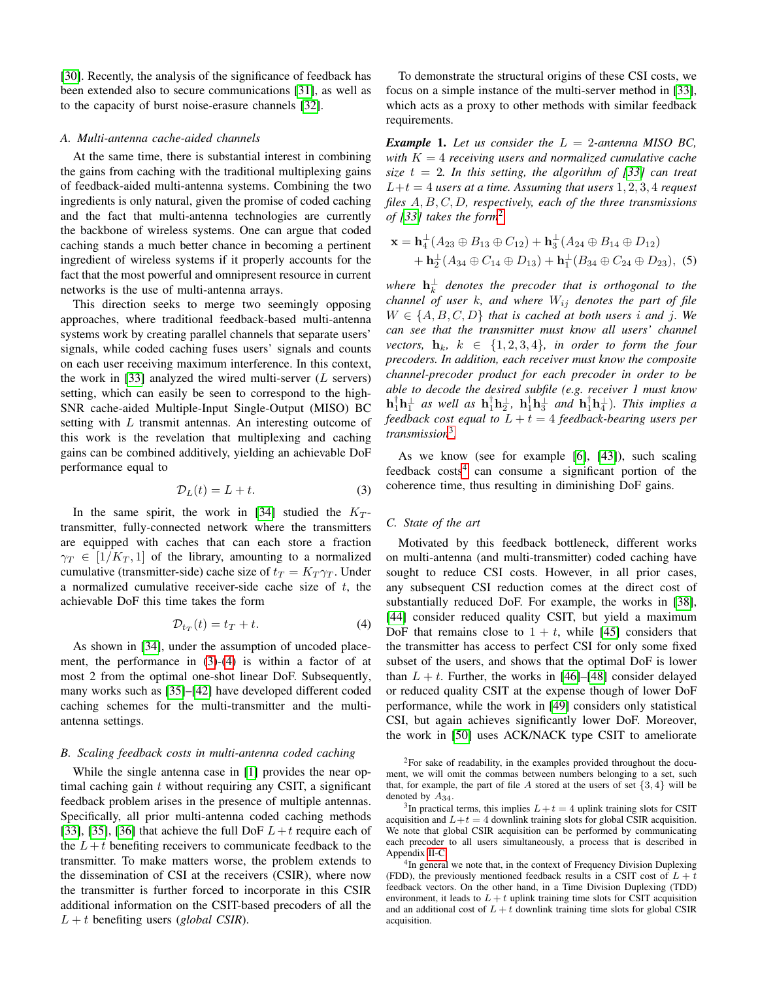[\[30\]](#page-16-8). Recently, the analysis of the significance of feedback has been extended also to secure communications [\[31\]](#page-16-9), as well as to the capacity of burst noise-erasure channels [\[32\]](#page-16-10).

# *A. Multi-antenna cache-aided channels*

At the same time, there is substantial interest in combining the gains from caching with the traditional multiplexing gains of feedback-aided multi-antenna systems. Combining the two ingredients is only natural, given the promise of coded caching and the fact that multi-antenna technologies are currently the backbone of wireless systems. One can argue that coded caching stands a much better chance in becoming a pertinent ingredient of wireless systems if it properly accounts for the fact that the most powerful and omnipresent resource in current networks is the use of multi-antenna arrays.

This direction seeks to merge two seemingly opposing approaches, where traditional feedback-based multi-antenna systems work by creating parallel channels that separate users' signals, while coded caching fuses users' signals and counts on each user receiving maximum interference. In this context, the work in [\[33\]](#page-16-11) analyzed the wired multi-server  $(L$  servers) setting, which can easily be seen to correspond to the high-SNR cache-aided Multiple-Input Single-Output (MISO) BC setting with L transmit antennas. An interesting outcome of this work is the revelation that multiplexing and caching gains can be combined additively, yielding an achievable DoF performance equal to

$$
\mathcal{D}_L(t) = L + t. \tag{3}
$$

In the same spirit, the work in [\[34\]](#page-16-12) studied the  $K_T$ transmitter, fully-connected network where the transmitters are equipped with caches that can each store a fraction  $\gamma_T \in [1/K_T, 1]$  of the library, amounting to a normalized cumulative (transmitter-side) cache size of  $t_T = K_T \gamma_T$ . Under a normalized cumulative receiver-side cache size of  $t$ , the achievable DoF this time takes the form

$$
\mathcal{D}_{t_T}(t) = t_T + t. \tag{4}
$$

As shown in [\[34\]](#page-16-12), under the assumption of uncoded placement, the performance in [\(3\)](#page-1-0)-[\(4\)](#page-1-1) is within a factor of at most 2 from the optimal one-shot linear DoF. Subsequently, many works such as [\[35\]](#page-16-13)–[\[42\]](#page-16-14) have developed different coded caching schemes for the multi-transmitter and the multiantenna settings.

#### *B. Scaling feedback costs in multi-antenna coded caching*

While the single antenna case in [\[1\]](#page-15-0) provides the near optimal caching gain  $t$  without requiring any CSIT, a significant feedback problem arises in the presence of multiple antennas. Specifically, all prior multi-antenna coded caching methods [\[33\]](#page-16-11), [\[35\]](#page-16-13), [\[36\]](#page-16-15) that achieve the full DoF  $L+t$  require each of the  $L+t$  benefiting receivers to communicate feedback to the transmitter. To make matters worse, the problem extends to the dissemination of CSI at the receivers (CSIR), where now the transmitter is further forced to incorporate in this CSIR additional information on the CSIT-based precoders of all the  $L + t$  benefiting users (*global CSIR*).

To demonstrate the structural origins of these CSI costs, we focus on a simple instance of the multi-server method in [\[33\]](#page-16-11), which acts as a proxy to other methods with similar feedback requirements.

<span id="page-1-5"></span>*Example* 1. *Let us consider the* L = 2*-antenna MISO BC, with* K = 4 *receiving users and normalized cumulative cache size*  $t = 2$ *. In this setting, the algorithm of [\[33\]](#page-16-11) can treat*  $L+t=4$  *users at a time. Assuming that users*  $1, 2, 3, 4$  *request files* A, B, C, D*, respectively, each of the three transmissions of [\[33\]](#page-16-11) takes the form*[2](#page-1-2)

$$
\mathbf{x} = \mathbf{h}_4^{\perp}(A_{23} \oplus B_{13} \oplus C_{12}) + \mathbf{h}_3^{\perp}(A_{24} \oplus B_{14} \oplus D_{12}) + \mathbf{h}_2^{\perp}(A_{34} \oplus C_{14} \oplus D_{13}) + \mathbf{h}_1^{\perp}(B_{34} \oplus C_{24} \oplus D_{23}),
$$
 (5)

where  $\mathbf{h}_k^\perp$  denotes the precoder that is orthogonal to the *channel of user* k*, and where* Wij *denotes the part of file*  $W \in \{A, B, C, D\}$  *that is cached at both users i and j. We can see that the transmitter must know all users' channel vectors,*  $\mathbf{h}_k$ ,  $k \in \{1, 2, 3, 4\}$ , in order to form the four *precoders. In addition, each receiver must know the composite channel-precoder product for each precoder in order to be able to decode the desired subfile (e.g. receiver 1 must know*  $\mathbf{h}_1^{\dagger} \mathbf{h}_1^{\perp}$  *as* well as  $\mathbf{h}_1^{\dagger} \mathbf{h}_2^{\perp}$ ,  $\mathbf{h}_1^{\dagger} \mathbf{h}_3^{\perp}$  and  $\mathbf{h}_1^{\dagger} \mathbf{h}_4^{\perp}$ ). This implies a *feedback cost equal to*  $L + t = 4$  *feedback-bearing users per transmission*[3](#page-1-3) *.*

<span id="page-1-0"></span>As we know (see for example [\[6\]](#page-15-5), [\[43\]](#page-16-16)), such scaling feedback costs<sup>[4](#page-1-4)</sup> can consume a significant portion of the coherence time, thus resulting in diminishing DoF gains.

# *C. State of the art*

<span id="page-1-1"></span>Motivated by this feedback bottleneck, different works on multi-antenna (and multi-transmitter) coded caching have sought to reduce CSI costs. However, in all prior cases, any subsequent CSI reduction comes at the direct cost of substantially reduced DoF. For example, the works in [\[38\]](#page-16-17), [\[44\]](#page-16-18) consider reduced quality CSIT, but yield a maximum DoF that remains close to  $1 + t$ , while [\[45\]](#page-16-19) considers that the transmitter has access to perfect CSI for only some fixed subset of the users, and shows that the optimal DoF is lower than  $L + t$ . Further, the works in [\[46\]](#page-16-20)–[\[48\]](#page-16-21) consider delayed or reduced quality CSIT at the expense though of lower DoF performance, while the work in [\[49\]](#page-16-22) considers only statistical CSI, but again achieves significantly lower DoF. Moreover, the work in [\[50\]](#page-16-23) uses ACK/NACK type CSIT to ameliorate

<span id="page-1-2"></span><sup>2</sup>For sake of readability, in the examples provided throughout the document, we will omit the commas between numbers belonging to a set, such that, for example, the part of file A stored at the users of set  $\{3, 4\}$  will be denoted by  $A_{34}$ .

<span id="page-1-3"></span><sup>&</sup>lt;sup>3</sup>In practical terms, this implies  $L + t = 4$  uplink training slots for CSIT acquisition and  $L+t=4$  downlink training slots for global CSIR acquisition. We note that global CSIR acquisition can be performed by communicating each precoder to all users simultaneously, a process that is described in Appendix [II-C.](#page-13-0)

<span id="page-1-4"></span><sup>&</sup>lt;sup>4</sup>In general we note that, in the context of Frequency Division Duplexing (FDD), the previously mentioned feedback results in a CSIT cost of  $L + t$ feedback vectors. On the other hand, in a Time Division Duplexing (TDD) environment, it leads to  $L + t$  uplink training time slots for CSIT acquisition and an additional cost of  $L + t$  downlink training time slots for global CSIR acquisition.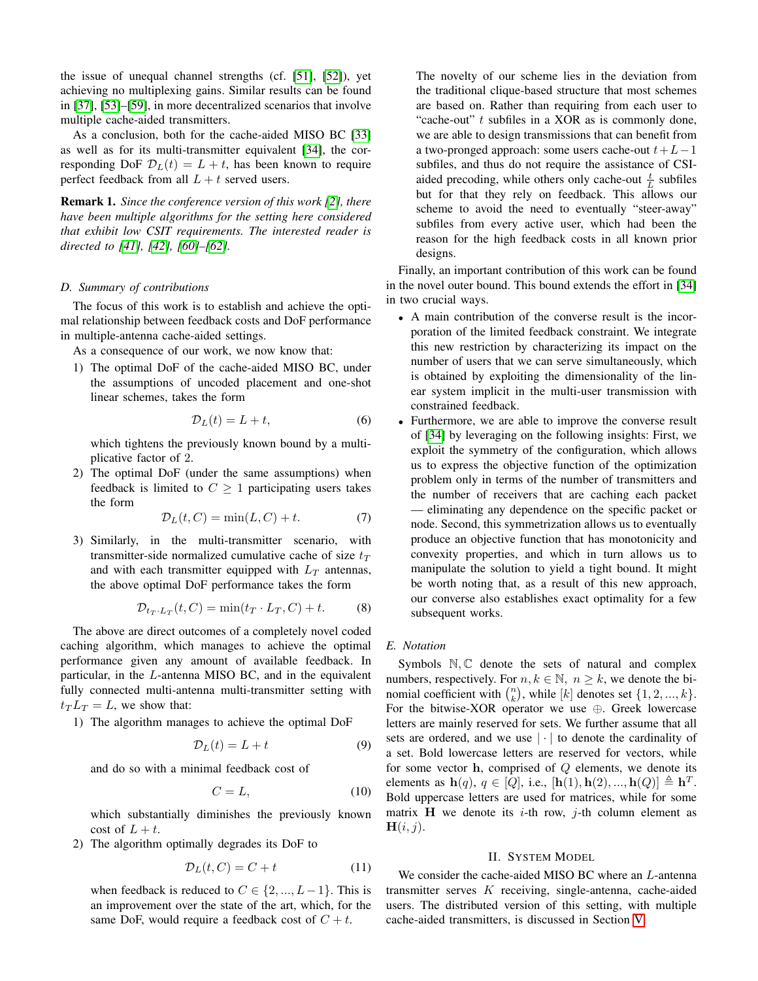the issue of unequal channel strengths (cf. [\[51\]](#page-16-24), [\[52\]](#page-16-25)), yet achieving no multiplexing gains. Similar results can be found in [\[37\]](#page-16-26), [\[53\]](#page-16-27)–[\[59\]](#page-17-0), in more decentralized scenarios that involve multiple cache-aided transmitters.

As a conclusion, both for the cache-aided MISO BC [\[33\]](#page-16-11) as well as for its multi-transmitter equivalent [\[34\]](#page-16-12), the corresponding DoF  $\mathcal{D}_L(t) = L + t$ , has been known to require perfect feedback from all  $L + t$  served users.

Remark 1. *Since the conference version of this work [\[2\]](#page-15-1), there have been multiple algorithms for the setting here considered that exhibit low CSIT requirements. The interested reader is directed to [\[41\]](#page-16-28), [\[42\]](#page-16-14), [\[60\]](#page-17-1)–[\[62\]](#page-17-2).*

# *D. Summary of contributions*

The focus of this work is to establish and achieve the optimal relationship between feedback costs and DoF performance in multiple-antenna cache-aided settings.

As a consequence of our work, we now know that:

1) The optimal DoF of the cache-aided MISO BC, under the assumptions of uncoded placement and one-shot linear schemes, takes the form

$$
\mathcal{D}_L(t) = L + t,\tag{6}
$$

which tightens the previously known bound by a multiplicative factor of 2.

2) The optimal DoF (under the same assumptions) when feedback is limited to  $C \geq 1$  participating users takes the form

$$
\mathcal{D}_L(t, C) = \min(L, C) + t. \tag{7}
$$

3) Similarly, in the multi-transmitter scenario, with transmitter-side normalized cumulative cache of size  $t_T$ and with each transmitter equipped with  $L_T$  antennas, the above optimal DoF performance takes the form

$$
\mathcal{D}_{t_T \cdot L_T}(t, C) = \min(t_T \cdot L_T, C) + t. \tag{8}
$$

The above are direct outcomes of a completely novel coded caching algorithm, which manages to achieve the optimal performance given any amount of available feedback. In particular, in the L-antenna MISO BC, and in the equivalent fully connected multi-antenna multi-transmitter setting with  $t_T L_T = L$ , we show that:

1) The algorithm manages to achieve the optimal DoF

$$
\mathcal{D}_L(t) = L + t \tag{9}
$$

and do so with a minimal feedback cost of

$$
C = L,\t\t(10)
$$

which substantially diminishes the previously known cost of  $L + t$ .

2) The algorithm optimally degrades its DoF to

$$
\mathcal{D}_L(t, C) = C + t \tag{11}
$$

when feedback is reduced to  $C \in \{2, ..., L-1\}$ . This is an improvement over the state of the art, which, for the same DoF, would require a feedback cost of  $C + t$ .

The novelty of our scheme lies in the deviation from the traditional clique-based structure that most schemes are based on. Rather than requiring from each user to "cache-out"  $t$  subfiles in a XOR as is commonly done, we are able to design transmissions that can benefit from a two-pronged approach: some users cache-out  $t+L-1$ subfiles, and thus do not require the assistance of CSIaided precoding, while others only cache-out  $\frac{t}{L}$  subfiles but for that they rely on feedback. This allows our scheme to avoid the need to eventually "steer-away" subfiles from every active user, which had been the reason for the high feedback costs in all known prior designs.

Finally, an important contribution of this work can be found in the novel outer bound. This bound extends the effort in [\[34\]](#page-16-12) in two crucial ways.

- A main contribution of the converse result is the incorporation of the limited feedback constraint. We integrate this new restriction by characterizing its impact on the number of users that we can serve simultaneously, which is obtained by exploiting the dimensionality of the linear system implicit in the multi-user transmission with constrained feedback.
- Furthermore, we are able to improve the converse result of [\[34\]](#page-16-12) by leveraging on the following insights: First, we exploit the symmetry of the configuration, which allows us to express the objective function of the optimization problem only in terms of the number of transmitters and the number of receivers that are caching each packet — eliminating any dependence on the specific packet or node. Second, this symmetrization allows us to eventually produce an objective function that has monotonicity and convexity properties, and which in turn allows us to manipulate the solution to yield a tight bound. It might be worth noting that, as a result of this new approach, our converse also establishes exact optimality for a few subsequent works.

# *E. Notation*

Symbols  $N, \mathbb{C}$  denote the sets of natural and complex numbers, respectively. For  $n, k \in \mathbb{N}$ ,  $n \geq k$ , we denote the binomial coefficient with  $\binom{n}{k}$ , while  $[k]$  denotes set  $\{1, 2, ..., k\}$ . For the bitwise-XOR operator we use ⊕. Greek lowercase letters are mainly reserved for sets. We further assume that all sets are ordered, and we use  $|\cdot|$  to denote the cardinality of a set. Bold lowercase letters are reserved for vectors, while for some vector h, comprised of Q elements, we denote its elements as  $\mathbf{h}(q)$ ,  $q \in [Q]$ , i.e.,  $[\mathbf{h}(1), \mathbf{h}(2), ..., \mathbf{h}(Q)] \triangleq \mathbf{h}^{T}$ . Bold uppercase letters are used for matrices, while for some matrix H we denote its *i*-th row, *j*-th column element as  $H(i, j)$ .

## II. SYSTEM MODEL

<span id="page-2-0"></span>We consider the cache-aided MISO BC where an *L*-antenna transmitter serves  $K$  receiving, single-antenna, cache-aided users. The distributed version of this setting, with multiple cache-aided transmitters, is discussed in Section [V.](#page-7-0)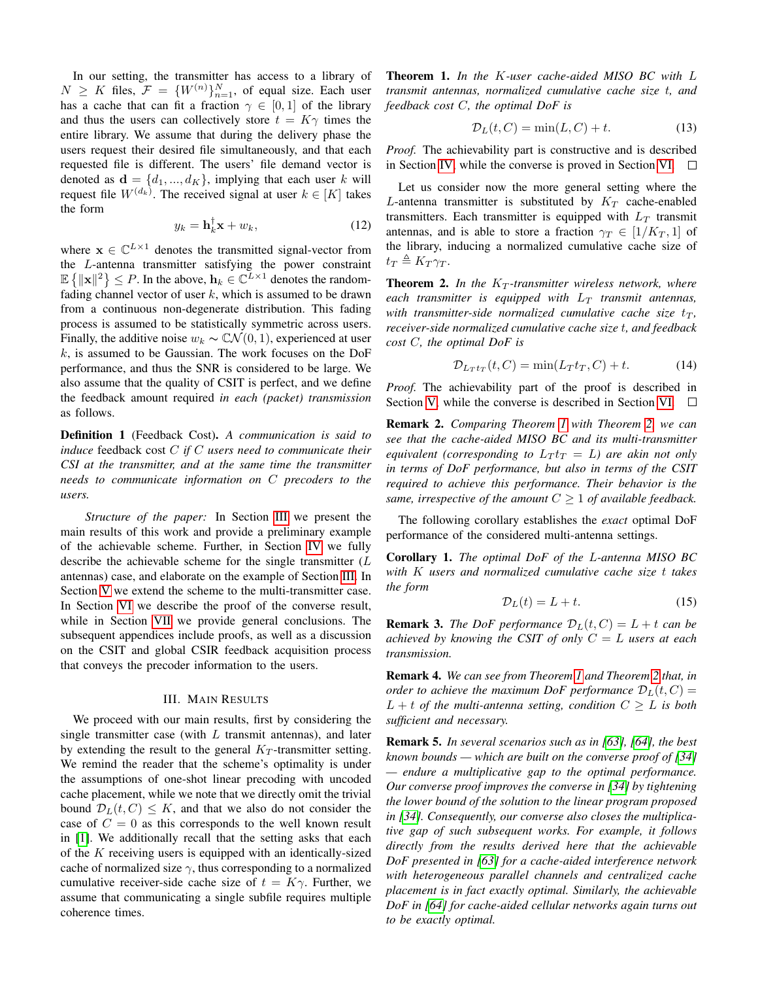In our setting, the transmitter has access to a library of  $N \geq K$  files,  $\mathcal{F} = \{W^{(n)}\}_{n=1}^N$ , of equal size. Each user has a cache that can fit a fraction  $\gamma \in [0,1]$  of the library and thus the users can collectively store  $t = K\gamma$  times the entire library. We assume that during the delivery phase the users request their desired file simultaneously, and that each requested file is different. The users' file demand vector is denoted as  $\mathbf{d} = \{d_1, ..., d_K\}$ , implying that each user k will request file  $W^{(d_k)}$ . The received signal at user  $k \in [K]$  takes the form

$$
y_k = \mathbf{h}_k^{\dagger} \mathbf{x} + w_k, \tag{12}
$$

where  $\mathbf{x} \in \mathbb{C}^{L \times 1}$  denotes the transmitted signal-vector from the L-antenna transmitter satisfying the power constraint  $\mathbb{E}\left\{\|\mathbf{x}\|^2\right\} \leq P$ . In the above,  $\mathbf{h}_k \in \mathbb{C}^{L \times 1}$  denotes the randomfading channel vector of user  $k$ , which is assumed to be drawn from a continuous non-degenerate distribution. This fading process is assumed to be statistically symmetric across users. Finally, the additive noise  $w_k \sim \mathbb{C} \mathcal{N}(0, 1)$ , experienced at user  $k$ , is assumed to be Gaussian. The work focuses on the DoF performance, and thus the SNR is considered to be large. We also assume that the quality of CSIT is perfect, and we define the feedback amount required *in each (packet) transmission* as follows.

Definition 1 (Feedback Cost). *A communication is said to induce* feedback cost C *if* C *users need to communicate their CSI at the transmitter, and at the same time the transmitter needs to communicate information on* C *precoders to the users.*

*Structure of the paper:* In Section [III](#page-3-0) we present the main results of this work and provide a preliminary example of the achievable scheme. Further, in Section [IV](#page-4-0) we fully describe the achievable scheme for the single transmitter (L antennas) case, and elaborate on the example of Section [III.](#page-3-0) In Section [V](#page-7-0) we extend the scheme to the multi-transmitter case. In Section [VI](#page-8-1) we describe the proof of the converse result, while in Section [VII](#page-11-0) we provide general conclusions. The subsequent appendices include proofs, as well as a discussion on the CSIT and global CSIR feedback acquisition process that conveys the precoder information to the users.

## III. MAIN RESULTS

<span id="page-3-0"></span>We proceed with our main results, first by considering the single transmitter case (with  $L$  transmit antennas), and later by extending the result to the general  $K_T$ -transmitter setting. We remind the reader that the scheme's optimality is under the assumptions of one-shot linear precoding with uncoded cache placement, while we note that we directly omit the trivial bound  $\mathcal{D}_L(t, C) \leq K$ , and that we also do not consider the case of  $C = 0$  as this corresponds to the well known result in [\[1\]](#page-15-0). We additionally recall that the setting asks that each of the K receiving users is equipped with an identically-sized cache of normalized size  $\gamma$ , thus corresponding to a normalized cumulative receiver-side cache size of  $t = K\gamma$ . Further, we assume that communicating a single subfile requires multiple coherence times.

<span id="page-3-1"></span>Theorem 1. *In the* K*-user cache-aided MISO BC with* L *transmit antennas, normalized cumulative cache size* t*, and feedback cost* C*, the optimal DoF is*

$$
\mathcal{D}_L(t, C) = \min(L, C) + t. \tag{13}
$$

*Proof.* The achievability part is constructive and is described in Section [IV,](#page-4-0) while the converse is proved in Section [VI.](#page-8-1)  $\Box$ 

Let us consider now the more general setting where the L-antenna transmitter is substituted by  $K_T$  cache-enabled transmitters. Each transmitter is equipped with  $L_T$  transmit antennas, and is able to store a fraction  $\gamma_T \in [1/K_T, 1]$  of the library, inducing a normalized cumulative cache size of  $t_T \triangleq K_T \gamma_T$ .

<span id="page-3-2"></span>Theorem 2. *In the K<sub>T</sub>*-transmitter wireless network, where *each transmitter is equipped with*  $L_T$  *transmit antennas, with transmitter-side normalized cumulative cache size*  $t_T$ , *receiver-side normalized cumulative cache size* t*, and feedback cost* C*, the optimal DoF is*

$$
\mathcal{D}_{L_T t_T}(t, C) = \min(L_T t_T, C) + t. \tag{14}
$$

*Proof.* The achievability part of the proof is described in Section [V,](#page-7-0) while the converse is described in Section [VI.](#page-8-1)  $\Box$ 

Remark 2. *Comparing Theorem [1](#page-3-1) with Theorem [2,](#page-3-2) we can see that the cache-aided MISO BC and its multi-transmitter equivalent (corresponding to*  $L_T t_T = L$ ) are akin not only *in terms of DoF performance, but also in terms of the CSIT required to achieve this performance. Their behavior is the same, irrespective of the amount*  $C \geq 1$  *of available feedback.* 

The following corollary establishes the *exact* optimal DoF performance of the considered multi-antenna settings.

Corollary 1. *The optimal DoF of the* L*-antenna MISO BC with* K *users and normalized cumulative cache size* t *takes the form*

$$
\mathcal{D}_L(t) = L + t. \tag{15}
$$

**Remark 3.** *The DoF performance*  $\mathcal{D}_L(t, C) = L + t$  *can be achieved by knowing the CSIT of only* C = L *users at each transmission.*

Remark 4. *We can see from Theorem [1](#page-3-1) and Theorem [2](#page-3-2) that, in order to achieve the maximum DoF performance*  $\mathcal{D}_L(t, C)$  =  $L + t$  *of the multi-antenna setting, condition*  $C \geq L$  *is both sufficient and necessary.*

Remark 5. *In several scenarios such as in [\[63\]](#page-17-3), [\[64\]](#page-17-4), the best known bounds — which are built on the converse proof of [\[34\]](#page-16-12) — endure a multiplicative gap to the optimal performance. Our converse proof improves the converse in [\[34\]](#page-16-12) by tightening the lower bound of the solution to the linear program proposed in [\[34\]](#page-16-12). Consequently, our converse also closes the multiplicative gap of such subsequent works. For example, it follows directly from the results derived here that the achievable DoF presented in [\[63\]](#page-17-3) for a cache-aided interference network with heterogeneous parallel channels and centralized cache placement is in fact exactly optimal. Similarly, the achievable DoF in [\[64\]](#page-17-4) for cache-aided cellular networks again turns out to be exactly optimal.*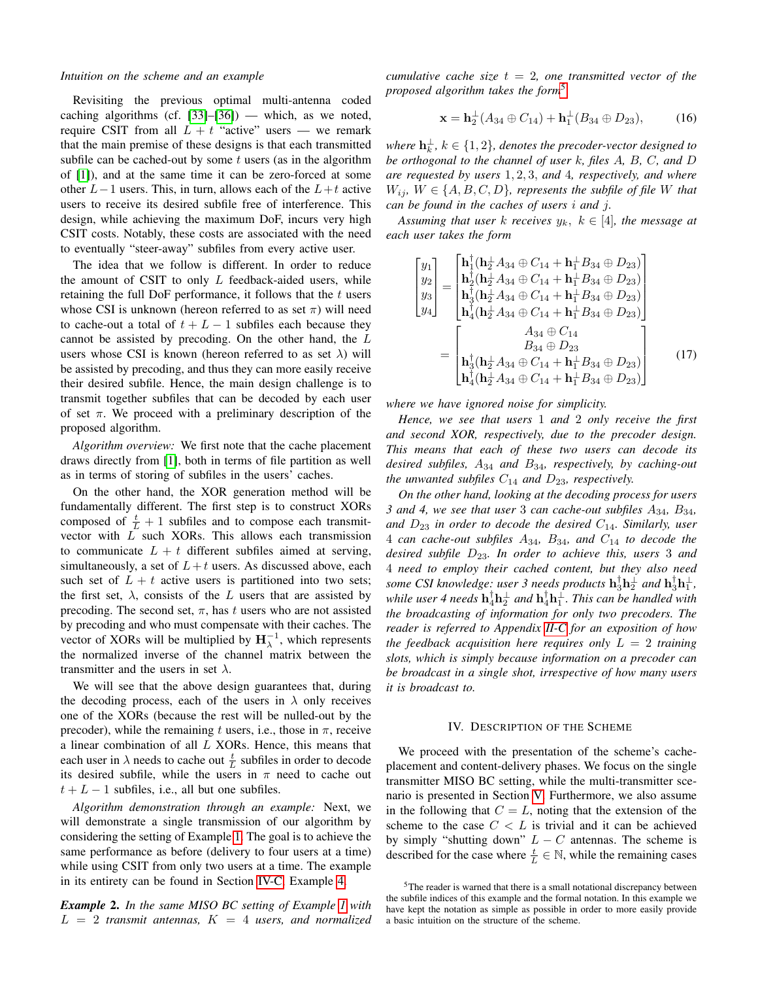#### *Intuition on the scheme and an example*

Revisiting the previous optimal multi-antenna coded caching algorithms (cf.  $[33]$ - $[36]$ ) — which, as we noted, require CSIT from all  $L + t$  "active" users — we remark that the main premise of these designs is that each transmitted subfile can be cached-out by some  $t$  users (as in the algorithm of [\[1\]](#page-15-0)), and at the same time it can be zero-forced at some other  $L-1$  users. This, in turn, allows each of the  $L+t$  active users to receive its desired subfile free of interference. This design, while achieving the maximum DoF, incurs very high CSIT costs. Notably, these costs are associated with the need to eventually "steer-away" subfiles from every active user.

The idea that we follow is different. In order to reduce the amount of CSIT to only  $L$  feedback-aided users, while retaining the full DoF performance, it follows that the  $t$  users whose CSI is unknown (hereon referred to as set  $\pi$ ) will need to cache-out a total of  $t + L - 1$  subfiles each because they cannot be assisted by precoding. On the other hand, the L users whose CSI is known (hereon referred to as set  $\lambda$ ) will be assisted by precoding, and thus they can more easily receive their desired subfile. Hence, the main design challenge is to transmit together subfiles that can be decoded by each user of set  $\pi$ . We proceed with a preliminary description of the proposed algorithm.

*Algorithm overview:* We first note that the cache placement draws directly from [\[1\]](#page-15-0), both in terms of file partition as well as in terms of storing of subfiles in the users' caches.

On the other hand, the XOR generation method will be fundamentally different. The first step is to construct XORs composed of  $\frac{t}{L} + 1$  subfiles and to compose each transmitvector with  $\overline{L}$  such XORs. This allows each transmission to communicate  $L + t$  different subfiles aimed at serving, simultaneously, a set of  $L+t$  users. As discussed above, each such set of  $L + t$  active users is partitioned into two sets; the first set,  $\lambda$ , consists of the L users that are assisted by precoding. The second set,  $\pi$ , has t users who are not assisted by precoding and who must compensate with their caches. The vector of XORs will be multiplied by  $H_{\lambda}^{-1}$ , which represents the normalized inverse of the channel matrix between the transmitter and the users in set  $\lambda$ .

We will see that the above design guarantees that, during the decoding process, each of the users in  $\lambda$  only receives one of the XORs (because the rest will be nulled-out by the precoder), while the remaining t users, i.e., those in  $\pi$ , receive a linear combination of all L XORs. Hence, this means that each user in  $\lambda$  needs to cache out  $\frac{t}{L}$  subfiles in order to decode its desired subfile, while the users in  $\pi$  need to cache out  $t + L - 1$  subfiles, i.e., all but one subfiles.

*Algorithm demonstration through an example:* Next, we will demonstrate a single transmission of our algorithm by considering the setting of Example [1.](#page-1-5) The goal is to achieve the same performance as before (delivery to four users at a time) while using CSIT from only two users at a time. The example in its entirety can be found in Section [IV-C,](#page-7-1) Example [4.](#page-7-2)

<span id="page-4-2"></span>*Example* 2. *In the same MISO BC setting of Example [1](#page-1-5) with*  $L = 2$  *transmit antennas,*  $K = 4$  *users, and normalized* 

*cumulative cache size*  $t = 2$ *, one transmitted vector of the proposed algorithm takes the form*[5](#page-4-1)

$$
\mathbf{x} = \mathbf{h}_2^{\perp}(A_{34} \oplus C_{14}) + \mathbf{h}_1^{\perp}(B_{34} \oplus D_{23}), \quad (16)
$$

where  $\mathbf{h}^{\perp}_k$ ,  $k \in \{1,2\}$ , denotes the precoder-vector designed to *be orthogonal to the channel of user* k*, files* A*,* B*,* C*, and* D *are requested by users* 1, 2, 3, *and* 4*, respectively, and where*  $W_{ij}$ ,  $W \in \{A, B, C, D\}$ , represents the subfile of file W that *can be found in the caches of users* i *and* j*.*

*Assuming that user* k *receives*  $y_k$ ,  $k \in [4]$ *, the message at each user takes the form*

$$
\begin{bmatrix} y_1 \\ y_2 \\ y_3 \\ y_4 \end{bmatrix} = \begin{bmatrix} \mathbf{h}_1^{\dagger} (\mathbf{h}_2^{\dagger} A_{34} \oplus C_{14} + \mathbf{h}_1^{\dagger} B_{34} \oplus D_{23}) \\ \mathbf{h}_2^{\dagger} (\mathbf{h}_2^{\dagger} A_{34} \oplus C_{14} + \mathbf{h}_1^{\dagger} B_{34} \oplus D_{23}) \\ \mathbf{h}_3^{\dagger} (\mathbf{h}_2^{\dagger} A_{34} \oplus C_{14} + \mathbf{h}_1^{\dagger} B_{34} \oplus D_{23}) \\ \mathbf{h}_4^{\dagger} (\mathbf{h}_2^{\dagger} A_{34} \oplus C_{14} + \mathbf{h}_1^{\dagger} B_{34} \oplus D_{23}) \end{bmatrix}
$$

$$
= \begin{bmatrix} A_{34} \oplus C_{14} \\ B_{34} \oplus D_{23} \\ \mathbf{h}_3^{\dagger} (\mathbf{h}_2^{\dagger} A_{34} \oplus C_{14} + \mathbf{h}_1^{\dagger} B_{34} \oplus D_{23}) \\ \mathbf{h}_4^{\dagger} (\mathbf{h}_2^{\dagger} A_{34} \oplus C_{14} + \mathbf{h}_1^{\dagger} B_{34} \oplus D_{23}) \end{bmatrix} \tag{17}
$$

*where we have ignored noise for simplicity.*

*Hence, we see that users* 1 *and* 2 *only receive the first and second XOR, respectively, due to the precoder design. This means that each of these two users can decode its desired subfiles,* A<sup>34</sup> *and* B34*, respectively, by caching-out the unwanted subfiles*  $C_{14}$  *and*  $D_{23}$ *, respectively.* 

*On the other hand, looking at the decoding process for users 3 and 4, we see that user 3 can cache-out subfiles*  $A_{34}$ ,  $B_{34}$ , and  $D_{23}$  *in order to decode the desired*  $C_{14}$ *. Similarly, user* 4 *can cache-out subfiles* A34*,* B34*, and* C<sup>14</sup> *to decode the desired subfile* D23*. In order to achieve this, users* 3 *and* 4 *need to employ their cached content, but they also need* some CSI knowledge: user 3 needs products  $\mathbf{h}_3^{\dagger} \mathbf{h}_2^{\perp}$  and  $\mathbf{h}_3^{\dagger} \mathbf{h}_1^{\perp}$ , while user 4 needs  $\mathbf{h}_4^\dagger \mathbf{h}_2^\perp$  and  $\mathbf{h}_4^\dagger \mathbf{h}_1^\perp$ . This can be handled with *the broadcasting of information for only two precoders. The reader is referred to Appendix [II-C](#page-13-0) for an exposition of how the feedback acquisition here requires only* L = 2 *training slots, which is simply because information on a precoder can be broadcast in a single shot, irrespective of how many users it is broadcast to.*

#### IV. DESCRIPTION OF THE SCHEME

<span id="page-4-0"></span>We proceed with the presentation of the scheme's cacheplacement and content-delivery phases. We focus on the single transmitter MISO BC setting, while the multi-transmitter scenario is presented in Section [V.](#page-7-0) Furthermore, we also assume in the following that  $C = L$ , noting that the extension of the scheme to the case  $C < L$  is trivial and it can be achieved by simply "shutting down"  $L - C$  antennas. The scheme is described for the case where  $\frac{t}{L} \in \mathbb{N}$ , while the remaining cases

<span id="page-4-1"></span><sup>&</sup>lt;sup>5</sup>The reader is warned that there is a small notational discrepancy between the subfile indices of this example and the formal notation. In this example we have kept the notation as simple as possible in order to more easily provide a basic intuition on the structure of the scheme.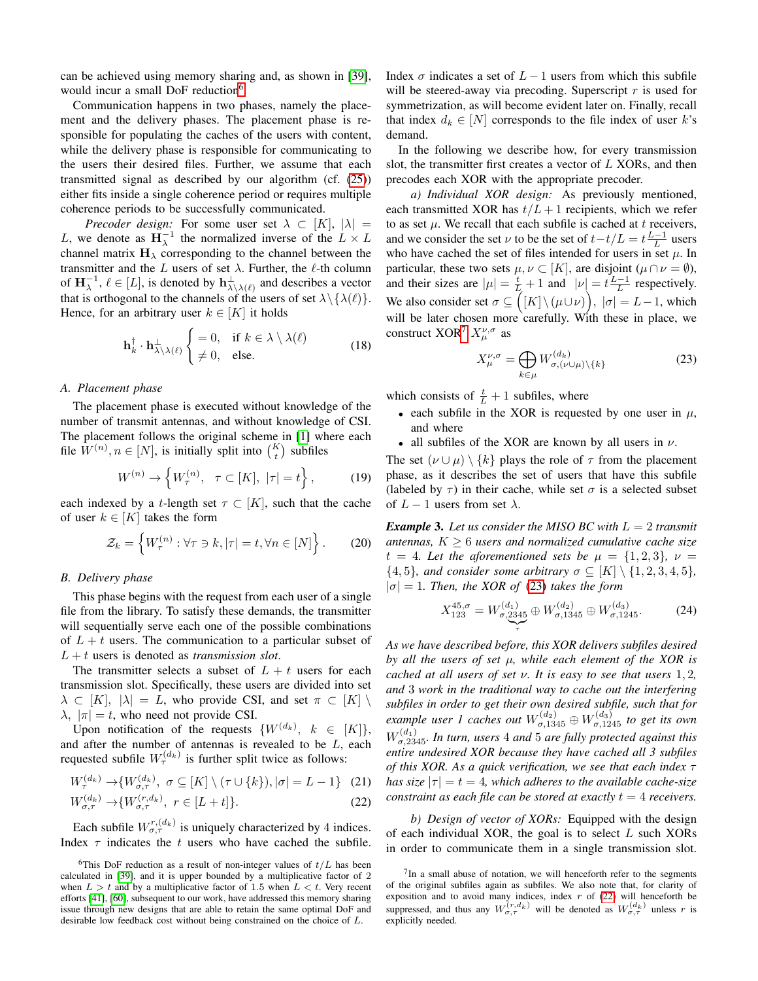can be achieved using memory sharing and, as shown in [\[39\]](#page-16-29), would incur a small DoF reduction<sup>[6](#page-5-0)</sup>.

Communication happens in two phases, namely the placement and the delivery phases. The placement phase is responsible for populating the caches of the users with content, while the delivery phase is responsible for communicating to the users their desired files. Further, we assume that each transmitted signal as described by our algorithm (cf. [\(25\)](#page-6-0)) either fits inside a single coherence period or requires multiple coherence periods to be successfully communicated.

*Precoder design:* For some user set  $\lambda \subset [K], |\lambda|$  = L, we denote as  $\mathbf{H}_{\lambda}^{-1}$  the normalized inverse of the  $L \times L$ channel matrix  $H_{\lambda}$  corresponding to the channel between the transmitter and the L users of set  $\lambda$ . Further, the  $\ell$ -th column of  $\mathbf{H}_{\lambda}^{-1}$ ,  $\ell \in [L]$ , is denoted by  $\mathbf{h}_{\lambda \setminus \lambda(\ell)}^{\perp}$  and describes a vector that is orthogonal to the channels of the users of set  $\lambda \setminus {\lambda(\ell)}$ . Hence, for an arbitrary user  $k \in [K]$  it holds

$$
\mathbf{h}_{k}^{\dagger} \cdot \mathbf{h}_{\lambda \setminus \lambda(\ell)}^{\perp} \begin{cases} = 0, & \text{if } k \in \lambda \setminus \lambda(\ell) \\ \neq 0, & \text{else.} \end{cases}
$$
(18)

# *A. Placement phase*

The placement phase is executed without knowledge of the number of transmit antennas, and without knowledge of CSI. The placement follows the original scheme in [\[1\]](#page-15-0) where each file  $W^{(n)}$ ,  $n \in [N]$ , is initially split into  $\binom{K}{t}$  subfiles

$$
W^{(n)} \to \left\{ W^{(n)}_{\tau}, \quad \tau \subset [K], \ |\tau| = t \right\},\tag{19}
$$

each indexed by a t-length set  $\tau \subset [K]$ , such that the cache of user  $k \in [K]$  takes the form

$$
\mathcal{Z}_k = \left\{ W_{\tau}^{(n)} : \forall \tau \ni k, |\tau| = t, \forall n \in [N] \right\}.
$$
 (20)

## *B. Delivery phase*

This phase begins with the request from each user of a single file from the library. To satisfy these demands, the transmitter will sequentially serve each one of the possible combinations of  $L + t$  users. The communication to a particular subset of  $L + t$  users is denoted as *transmission slot*.

The transmitter selects a subset of  $L + t$  users for each transmission slot. Specifically, these users are divided into set  $\lambda \subset [K], |\lambda| = L$ , who provide CSI, and set  $\pi \subset [K] \setminus$  $\lambda$ ,  $|\pi| = t$ , who need not provide CSI.

Upon notification of the requests  $\{W^{(d_k)}, k \in [K]\},$ and after the number of antennas is revealed to be  $L$ , each requested subfile  $W_{\tau}^{(d_k)}$  is further split twice as follows:

$$
W_{\tau}^{(d_k)} \rightarrow \{W_{\sigma,\tau}^{(d_k)}, \ \sigma \subseteq [K] \setminus (\tau \cup \{k\}), |\sigma| = L - 1\} \tag{21}
$$

$$
W_{\sigma,\tau}^{(d_k)} \to \{W_{\sigma,\tau}^{(r,d_k)}, \ r \in [L+t]\}.
$$
\n
$$
(22)
$$

Each subfile  $W_{\sigma,\tau}^{r,(d_k)}$  is uniquely characterized by 4 indices. Index  $\tau$  indicates the t users who have cached the subfile. Index  $\sigma$  indicates a set of  $L - 1$  users from which this subfile will be steered-away via precoding. Superscript  $r$  is used for symmetrization, as will become evident later on. Finally, recall that index  $d_k \in [N]$  corresponds to the file index of user k's demand.

In the following we describe how, for every transmission slot, the transmitter first creates a vector of L XORs, and then precodes each XOR with the appropriate precoder.

*a) Individual XOR design:* As previously mentioned, each transmitted XOR has  $t/L + 1$  recipients, which we refer to as set  $\mu$ . We recall that each subfile is cached at t receivers, and we consider the set  $\nu$  to be the set of  $t-t/L = t\frac{L-1}{L}$  users who have cached the set of files intended for users in set  $\mu$ . In particular, these two sets  $\mu, \nu \subset [K]$ , are disjoint  $(\mu \cap \nu = \emptyset)$ , and their sizes are  $|\mu| = \frac{t}{L} + 1$  and  $|\nu| = t \frac{L-1}{L}$  respectively. We also consider set  $\sigma \subseteq \overline{([K] \setminus (\mu \cup \nu)})$ ,  $|\sigma| = L - 1$ , which will be later chosen more carefully. With these in place, we construct XOR<sup>[7](#page-5-1)</sup>  $X^{\nu,\sigma}_{\mu}$  as

<span id="page-5-2"></span>
$$
X_{\mu}^{\nu,\sigma} = \bigoplus_{k \in \mu} W_{\sigma,(\nu \cup \mu) \setminus \{k\}}^{(d_k)} \tag{23}
$$

<span id="page-5-4"></span>which consists of  $\frac{t}{L} + 1$  subfiles, where

- each subfile in the XOR is requested by one user in  $\mu$ , and where
- all subfiles of the XOR are known by all users in  $\nu$ .

The set  $(\nu \cup \mu) \setminus \{k\}$  plays the role of  $\tau$  from the placement phase, as it describes the set of users that have this subfile (labeled by  $\tau$ ) in their cache, while set  $\sigma$  is a selected subset of  $L - 1$  users from set  $\lambda$ .

*Example* 3. *Let us consider the MISO BC with* L = 2 *transmit antennas,* K ≥ 6 *users and normalized cumulative cache size*  $t = 4$ *. Let the aforementioned sets be*  $\mu = \{1, 2, 3\}$ ,  $\nu =$  $\{4, 5\}$ *, and consider some arbitrary*  $\sigma \subseteq [K] \setminus \{1, 2, 3, 4, 5\}$ *,*  $|\sigma| = 1$ *. Then, the XOR of* [\(23\)](#page-5-2) *takes the form* 

$$
X_{123}^{45,\sigma} = W_{\sigma,2345}^{(d_1)} \oplus W_{\sigma,1345}^{(d_2)} \oplus W_{\sigma,1245}^{(d_3)}.
$$
 (24)

*As we have described before, this XOR delivers subfiles desired by all the users of set* µ*, while each element of the XOR is cached at all users of set* ν*. It is easy to see that users* 1, 2*, and* 3 *work in the traditional way to cache out the interfering subfiles in order to get their own desired subfile, such that for example user 1 caches out*  $W_{\sigma,1345}^{(d_2)} \oplus W_{\sigma,1245}^{(d_3)}$  to get its own  $W_{\sigma,2345}^{(d_1)}$ . In turn, users 4 and 5 are fully protected against this *entire undesired XOR because they have cached all 3 subfiles of this XOR. As a quick verification, we see that each index* τ *has size*  $|\tau| = t = 4$ *, which adheres to the available cache-size constraint as each file can be stored at exactly*  $t = 4$  *receivers.* 

<span id="page-5-3"></span>*b) Design of vector of XORs:* Equipped with the design of each individual XOR, the goal is to select  $L$  such XORs in order to communicate them in a single transmission slot.

<span id="page-5-0"></span><sup>&</sup>lt;sup>6</sup>This DoF reduction as a result of non-integer values of  $t/L$  has been calculated in [\[39\]](#page-16-29), and it is upper bounded by a multiplicative factor of 2 when  $L > t$  and by a multiplicative factor of 1.5 when  $L < t$ . Very recent efforts [\[41\]](#page-16-28), [\[60\]](#page-17-1), subsequent to our work, have addressed this memory sharing issue through new designs that are able to retain the same optimal DoF and desirable low feedback cost without being constrained on the choice of L.

<span id="page-5-1"></span><sup>&</sup>lt;sup>7</sup>In a small abuse of notation, we will henceforth refer to the segments of the original subfiles again as subfiles. We also note that, for clarity of exposition and to avoid many indices, index  $r$  of [\(22\)](#page-5-3) will henceforth be suppressed, and thus any  $W_{\sigma,\tau}^{(r,d_k)}$  will be denoted as  $W_{\sigma,\tau}^{(d_k)}$  unless r is explicitly needed.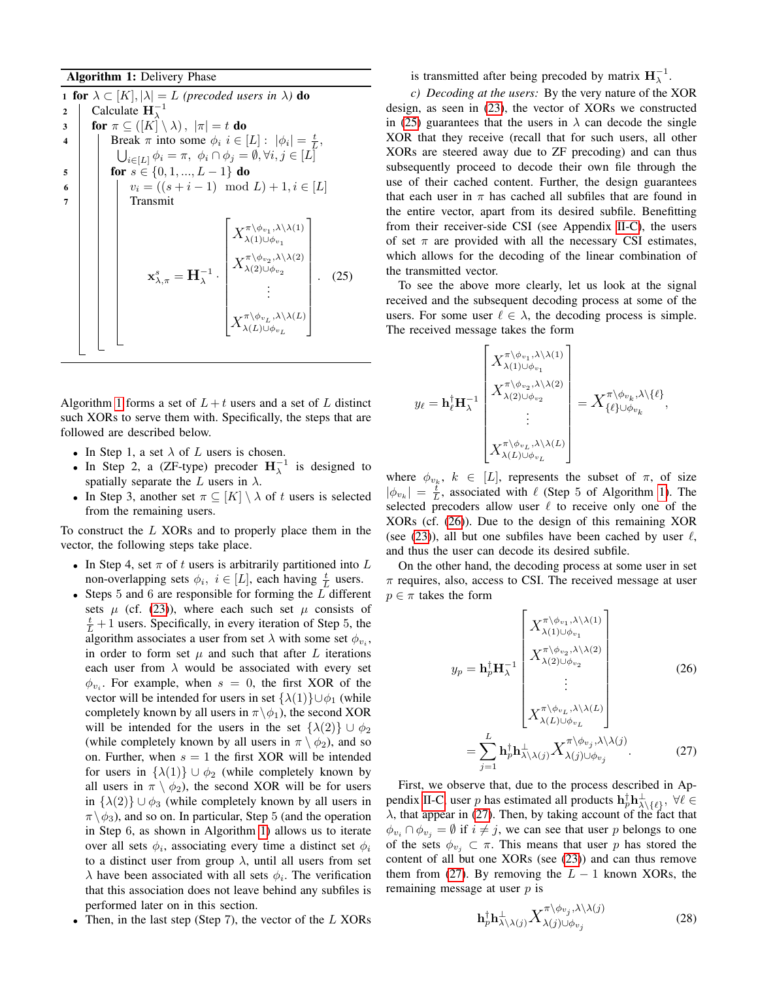Algorithm 1: Delivery Phase

<span id="page-6-1"></span>1 for  $\lambda \subset [K], |\lambda| = L$  *(precoded users in*  $\lambda$ *)* do 2 | Calculate  $\mathbf{H}_{\lambda}^{-1}$ 3 | for  $\pi \subseteq (K \setminus \lambda)$ ,  $|\pi| = t$  do 4 | Break  $\pi$  into some  $\phi_i$   $i \in [L] : |\phi_i| = \frac{t}{L}$ ,  $\bigcup_{i\in[L]}\phi_i=\pi, \ \phi_i\cap\phi_j=\emptyset, \forall i,j\in[L]$ 5 **for**  $s \in \{0, 1, ..., L-1\}$  do 6  $\vert \vert \vert v_i = ((s + i - 1) \mod L) + 1, i \in [L]$ 7 | | Transmit  $\mathbf{x}_{\lambda,\pi}^s = \mathbf{H}_\lambda^{-1}$  .  $\lceil$   $X^{\pi\setminus\phi_{v_1},\lambda\setminus\lambda(1)}_{\lambda(1)\sqcup\phi_{v}}$  $\lambda(1)\cup\phi_{v_1}$  $X^{\pi\setminus\phi_{v_2},\lambda\setminus\lambda(2)}_{\lambda(2)\sqcup\phi_{v_2}}$  $\lambda(2)\cup\phi_{v_2}$ . . .  $X^{\pi\setminus \phi_{v_L},\lambda\setminus \lambda(L)}_{\lambda(L)\cup \phi_{v_L}}$  $\lambda(L) \cup \phi_{v_L}$ 1 . (25)

Algorithm [1](#page-6-1) forms a set of  $L + t$  users and a set of L distinct such XORs to serve them with. Specifically, the steps that are followed are described below.

- In Step 1, a set  $\lambda$  of L users is chosen.
- In Step 2, a (ZF-type) precoder  $H_{\lambda}^{-1}$  is designed to spatially separate the L users in  $\lambda$ .
- In Step 3, another set  $\pi \subseteq [K] \setminus \lambda$  of t users is selected from the remaining users.

To construct the  $L$  XORs and to properly place them in the vector, the following steps take place.

- In Step 4, set  $\pi$  of t users is arbitrarily partitioned into L non-overlapping sets  $\phi_i$ ,  $i \in [L]$ , each having  $\frac{t}{L}$  users.
- Steps 5 and 6 are responsible for forming the  $L$  different sets  $\mu$  (cf. [\(23\)](#page-5-2)), where each such set  $\mu$  consists of  $\frac{t}{L} + 1$  users. Specifically, in every iteration of Step 5, the algorithm associates a user from set  $\lambda$  with some set  $\phi_{v_i}$ , in order to form set  $\mu$  and such that after L iterations each user from  $\lambda$  would be associated with every set  $\phi_{v_i}$ . For example, when  $s = 0$ , the first XOR of the vector will be intended for users in set  $\{\lambda(1)\}\cup \phi_1$  (while completely known by all users in  $\pi \backslash \phi_1$ , the second XOR will be intended for the users in the set  $\{\lambda(2)\}\cup \phi_2$ (while completely known by all users in  $\pi \setminus \phi_2$ ), and so on. Further, when  $s = 1$  the first XOR will be intended for users in  $\{\lambda(1)\}\cup \phi_2$  (while completely known by all users in  $\pi \setminus \phi_2$ , the second XOR will be for users in  $\{\lambda(2)\}\cup\phi_3$  (while completely known by all users in  $\pi \backslash \phi_3$ ), and so on. In particular, Step 5 (and the operation in Step 6, as shown in Algorithm [1\)](#page-6-1) allows us to iterate over all sets  $\phi_i$ , associating every time a distinct set  $\phi_i$ to a distinct user from group  $\lambda$ , until all users from set  $\lambda$  have been associated with all sets  $\phi_i$ . The verification that this association does not leave behind any subfiles is performed later on in this section.
- Then, in the last step (Step 7), the vector of the  $L$  XORs

is transmitted after being precoded by matrix  $H_{\lambda}^{-1}$ .

*c) Decoding at the users:* By the very nature of the XOR design, as seen in [\(23\)](#page-5-2), the vector of XORs we constructed in [\(25\)](#page-6-0) guarantees that the users in  $\lambda$  can decode the single XOR that they receive (recall that for such users, all other XORs are steered away due to ZF precoding) and can thus subsequently proceed to decode their own file through the use of their cached content. Further, the design guarantees that each user in  $\pi$  has cached all subfiles that are found in the entire vector, apart from its desired subfile. Benefitting from their receiver-side CSI (see Appendix [II-C\)](#page-13-0), the users of set  $\pi$  are provided with all the necessary CSI estimates, which allows for the decoding of the linear combination of the transmitted vector.

<span id="page-6-0"></span>To see the above more clearly, let us look at the signal received and the subsequent decoding process at some of the users. For some user  $\ell \in \lambda$ , the decoding process is simple. The received message takes the form

$$
y_{\ell} = \mathbf{h}_{\ell}^{\dagger} \mathbf{H}_{\lambda}^{-1} \begin{bmatrix} X_{\lambda(1)\cup\phi_{v_1}}^{\pi \backslash \phi_{v_1}, \lambda \backslash \lambda(1)} \\ X_{\lambda(1)\cup\phi_{v_2}}^{\pi \backslash \phi_{v_2}, \lambda \backslash \lambda(2)} \\ \vdots \\ X_{\lambda(L)\cup\phi_{v_L}}^{\pi \backslash \phi_{v_L}, \lambda \backslash \lambda(L)} \end{bmatrix} = X_{\{\ell\} \cup \phi_{v_k}}^{\pi \backslash \phi_{v_k}, \lambda \backslash \{\ell\}},
$$

where  $\phi_{v_k}$ ,  $k \in [L]$ , represents the subset of  $\pi$ , of size  $|\phi_{v_k}| = \frac{t}{L}$ , associated with  $\ell$  (Step 5 of Algorithm [1\)](#page-6-1). The selected precoders allow user  $\ell$  to receive only one of the XORs (cf. [\(26\)](#page-6-2)). Due to the design of this remaining XOR (see [\(23\)](#page-5-2)), all but one subfiles have been cached by user  $\ell$ , and thus the user can decode its desired subfile.

On the other hand, the decoding process at some user in set  $\pi$  requires, also, access to CSI. The received message at user  $p \in \pi$  takes the form

<span id="page-6-2"></span>
$$
y_p = \mathbf{h}_p^{\dagger} \mathbf{H}_{\lambda}^{-1} \begin{bmatrix} X_{\lambda(1)\cup\phi_{v_1}}^{\pi\backslash\phi_{v_1},\lambda\backslash\lambda(1)} \\ X_{\lambda(2)\cup\phi_{v_2}}^{\pi\backslash\phi_{v_2},\lambda\backslash\lambda(2)} \\ \vdots \\ X_{\lambda(L)\cup\phi_{v_L}}^{\pi\backslash\phi_{v_L},\lambda\backslash\lambda(L)} \end{bmatrix}
$$
(26)
$$
= \sum_{j=1}^{L} \mathbf{h}_p^{\dagger} \mathbf{h}_{\lambda\backslash\lambda(j)}^{\dagger} X_{\lambda(j)\cup\phi_{v_j}}^{\pi\backslash\phi_{v_j},\lambda\backslash\lambda(j)}.
$$
(27)

First, we observe that, due to the process described in Ap-pendix [II-C,](#page-13-0) user p has estimated all products  $\mathbf{h}_p^{\dagger} \mathbf{h}_{\lambda \setminus \{\ell\}}^{\perp}$ ,  $\forall \ell \in$  $\lambda$ , that appear in [\(27\)](#page-6-3). Then, by taking account of the fact that  $\phi_{v_i} \cap \phi_{v_j} = \emptyset$  if  $i \neq j$ , we can see that user p belongs to one of the sets  $\phi_{v_i} \subset \pi$ . This means that user p has stored the content of all but one XORs (see [\(23\)](#page-5-2)) and can thus remove them from [\(27\)](#page-6-3). By removing the  $L - 1$  known XORs, the remaining message at user  $p$  is

<span id="page-6-3"></span>
$$
\mathbf{h}_p^{\dagger} \mathbf{h}_{\lambda \setminus \lambda(j)}^{\perp} X_{\lambda(j) \cup \phi_{v_j}}^{\pi \setminus \phi_{v_j}, \lambda \setminus \lambda(j)} \tag{28}
$$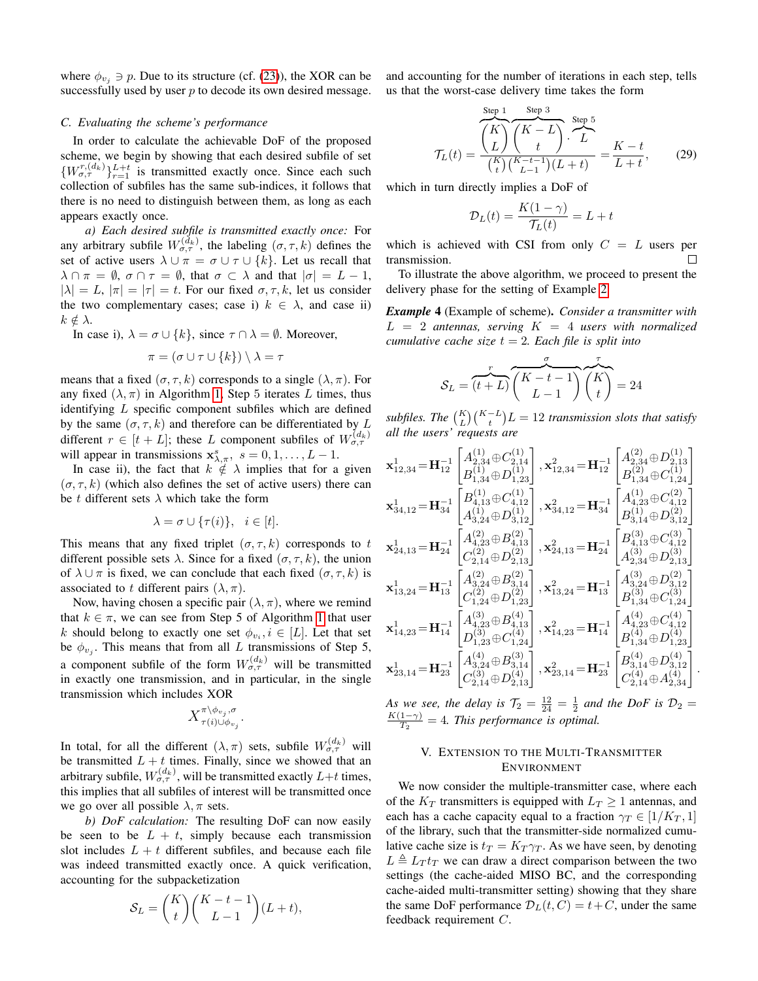where  $\phi_{v_i} \ni p$ . Due to its structure (cf. [\(23\)](#page-5-2)), the XOR can be successfully used by user  $p$  to decode its own desired message.

#### <span id="page-7-1"></span>*C. Evaluating the scheme's performance*

In order to calculate the achievable DoF of the proposed scheme, we begin by showing that each desired subfile of set  $\{W_{\sigma,\tau}^{r,(d_k)}\}_{r=1}^{L+t}$  is transmitted exactly once. Since each such collection of subfiles has the same sub-indices, it follows that there is no need to distinguish between them, as long as each appears exactly once.

*a) Each desired subfile is transmitted exactly once:* For any arbitrary subfile  $W_{\sigma,\tau}^{(d_k)}$ , the labeling  $(\sigma,\tau,k)$  defines the set of active users  $\lambda \cup \pi = \sigma \cup \tau \cup \{k\}$ . Let us recall that  $\lambda \cap \pi = \emptyset$ ,  $\sigma \cap \tau = \emptyset$ , that  $\sigma \subset \lambda$  and that  $|\sigma| = L - 1$ ,  $|\lambda| = L$ ,  $|\pi| = |\tau| = t$ . For our fixed  $\sigma, \tau, k$ , let us consider the two complementary cases; case i)  $k \in \lambda$ , and case ii)  $k \notin \lambda$ .

In case i),  $\lambda = \sigma \cup \{k\}$ , since  $\tau \cap \lambda = \emptyset$ . Moreover,

$$
\pi = (\sigma \cup \tau \cup \{k\}) \setminus \lambda = \tau
$$

means that a fixed  $(\sigma, \tau, k)$  corresponds to a single  $(\lambda, \pi)$ . For any fixed  $(\lambda, \pi)$  in Algorithm [1,](#page-6-1) Step 5 iterates L times, thus identifying L specific component subfiles which are defined by the same  $(\sigma, \tau, k)$  and therefore can be differentiated by L different  $r \in [t+L]$ ; these L component subfiles of  $W_{\sigma,\tau}^{(d_k)}$ will appear in transmissions  $\mathbf{x}_{\lambda,\pi}^s$ ,  $s = 0, 1, \dots, L - 1$ .

In case ii), the fact that  $k \notin \lambda$  implies that for a given  $(\sigma, \tau, k)$  (which also defines the set of active users) there can be t different sets  $\lambda$  which take the form

$$
\lambda = \sigma \cup \{\tau(i)\}, \quad i \in [t].
$$

This means that any fixed triplet  $(\sigma, \tau, k)$  corresponds to t different possible sets  $\lambda$ . Since for a fixed  $(\sigma, \tau, k)$ , the union of  $\lambda \cup \pi$  is fixed, we can conclude that each fixed  $(\sigma, \tau, k)$  is associated to t different pairs  $(\lambda, \pi)$ .

Now, having chosen a specific pair  $(\lambda, \pi)$ , where we remind that  $k \in \pi$ , we can see from Step 5 of Algorithm [1](#page-6-1) that user k should belong to exactly one set  $\phi_{v_i}$ ,  $i \in [L]$ . Let that set be  $\phi_{v_j}$ . This means that from all L transmissions of Step 5, a component subfile of the form  $W_{\sigma,\tau}^{(d_k)}$  will be transmitted in exactly one transmission, and in particular, in the single transmission which includes XOR

$$
X_{\tau(i)\cup\phi_{v_j}}^{\pi\setminus\phi_{v_j},\sigma}.
$$

In total, for all the different  $(\lambda, \pi)$  sets, subfile  $W_{\sigma,\tau}^{(d_k)}$  will be transmitted  $L + t$  times. Finally, since we showed that an arbitrary subfile,  $W_{\sigma,\tau}^{(d_k)}$ , will be transmitted exactly  $L+t$  times, this implies that all subfiles of interest will be transmitted once we go over all possible  $\lambda$ ,  $\pi$  sets.

*b) DoF calculation:* The resulting DoF can now easily be seen to be  $L + t$ , simply because each transmission slot includes  $L + t$  different subfiles, and because each file was indeed transmitted exactly once. A quick verification, accounting for the subpacketization

$$
S_L = {K \choose t} {K-t-1 \choose L-1} (L+t),
$$

and accounting for the number of iterations in each step, tells us that the worst-case delivery time takes the form

$$
\mathcal{T}_L(t) = \frac{\overbrace{\begin{pmatrix} K \\ L \end{pmatrix}}^{\text{Step 1}} \overbrace{\begin{pmatrix} K - L \\ t \end{pmatrix}}^{\text{Step 3}} \cdot \overbrace{\begin{pmatrix} L \\ L \end{pmatrix}}^{\text{Step 5}} = \frac{K - t}{L + t}, \quad (29)
$$

which in turn directly implies a DoF of

$$
\mathcal{D}_L(t) = \frac{K(1-\gamma)}{\mathcal{T}_L(t)} = L + t
$$

which is achieved with CSI from only  $C = L$  users per transmission.  $\Box$ 

To illustrate the above algorithm, we proceed to present the delivery phase for the setting of Example [2.](#page-4-2)

<span id="page-7-2"></span>*Example* 4 (Example of scheme). *Consider a transmitter with*  $L = 2$  *antennas, serving*  $K = 4$  *users with normalized cumulative cache size*  $t = 2$ *. Each file is split into* 

S<sup>L</sup> = r z }| { (t + L) σ z }| { K − t − 1 L − 1 τ z }| { K t = 24

subfiles. The  $\binom{K}{L}\binom{K-L}{t}L = 12$  *transmission slots that satisfy all the users' requests are*

$$
\begin{aligned} &\mathbf{x}^{1}_{12,34}=\mathbf{H}_{12}^{-1}\begin{bmatrix} A^{(1)}_{2,34}\oplus C^{(1)}_{2,14} \\ B^{(1)}_{1,34}\oplus D^{(1)}_{1,23} \end{bmatrix}, \mathbf{x}^{2}_{12,34}=\mathbf{H}_{12}^{-1}\begin{bmatrix} A^{(2)}_{2,34}\oplus D^{(1)}_{2,13} \\ B^{(2)}_{1,34}\oplus C^{(1)}_{1,24} \end{bmatrix}\\ &\mathbf{x}^{1}_{34,12}=\mathbf{H}_{34}^{-1}\begin{bmatrix} B^{(1)}_{4,13}\oplus C^{(1)}_{4,12} \\ A^{(1)}_{3,24}\oplus D^{(1)}_{3,12} \end{bmatrix}, \mathbf{x}^{2}_{34,12}=\mathbf{H}_{34}^{-1}\begin{bmatrix} A^{(1)}_{4,23}\oplus C^{(2)}_{4,12} \\ B^{(1)}_{3,14}\oplus D^{(2)}_{3,12} \end{bmatrix}\\ &\mathbf{x}^{1}_{24,13}=\mathbf{H}_{24}^{-1}\begin{bmatrix} A^{(2)}_{4,23}\oplus B^{(2)}_{4,13} \\ C^{(2)}_{2,14}\oplus D^{(2)}_{2,13} \end{bmatrix}, \mathbf{x}^{2}_{24,13}=\mathbf{H}_{24}^{-1}\begin{bmatrix} B^{(3)}_{4,13}\oplus C^{(3)}_{4,12} \\ A^{(3)}_{2,34}\oplus D^{(3)}_{2,13} \end{bmatrix}\\ &\mathbf{x}^{1}_{13,24}=\mathbf{H}_{13}^{-1}\begin{bmatrix} A^{(2)}_{3,24}\oplus B^{(2)}_{3,14} \\ C^{(2)}_{1,24}\oplus D^{(2)}_{1,23} \end{bmatrix}, \mathbf{x}^{2}_{13,24}=\mathbf{H}_{13}^{-1}\begin{bmatrix} A^{(3)}_{3,24}\oplus D^{(2)}_{3,12} \\ B^{(3)}_{1,34}\oplus C^{(3)}_{1,24} \end{bmatrix}\\ &\mathbf{x}^{1}_{14,23}=\mathbf{H}_{14}^{-1}\begin{bmatrix} A^{(3)}_{4,23}\oplus B^{(4)}_{4,13} \\ D^{(3)}_{
$$

*As we see, the delay is*  $\mathcal{T}_2 = \frac{12}{24} = \frac{1}{2}$  *and the DoF is*  $\mathcal{D}_2 =$  $K(1-\gamma)$  $\frac{1-\gamma}{T_2}$  = 4. This performance is optimal.

# <span id="page-7-0"></span>V. EXTENSION TO THE MULTI-TRANSMITTER ENVIRONMENT

We now consider the multiple-transmitter case, where each of the  $K_T$  transmitters is equipped with  $L_T \geq 1$  antennas, and each has a cache capacity equal to a fraction  $\gamma_T \in [1/K_T, 1]$ of the library, such that the transmitter-side normalized cumulative cache size is  $t_T = K_T \gamma_T$ . As we have seen, by denoting  $L \triangleq L_T t_T$  we can draw a direct comparison between the two settings (the cache-aided MISO BC, and the corresponding cache-aided multi-transmitter setting) showing that they share the same DoF performance  $\mathcal{D}_L(t, C) = t + C$ , under the same feedback requirement C.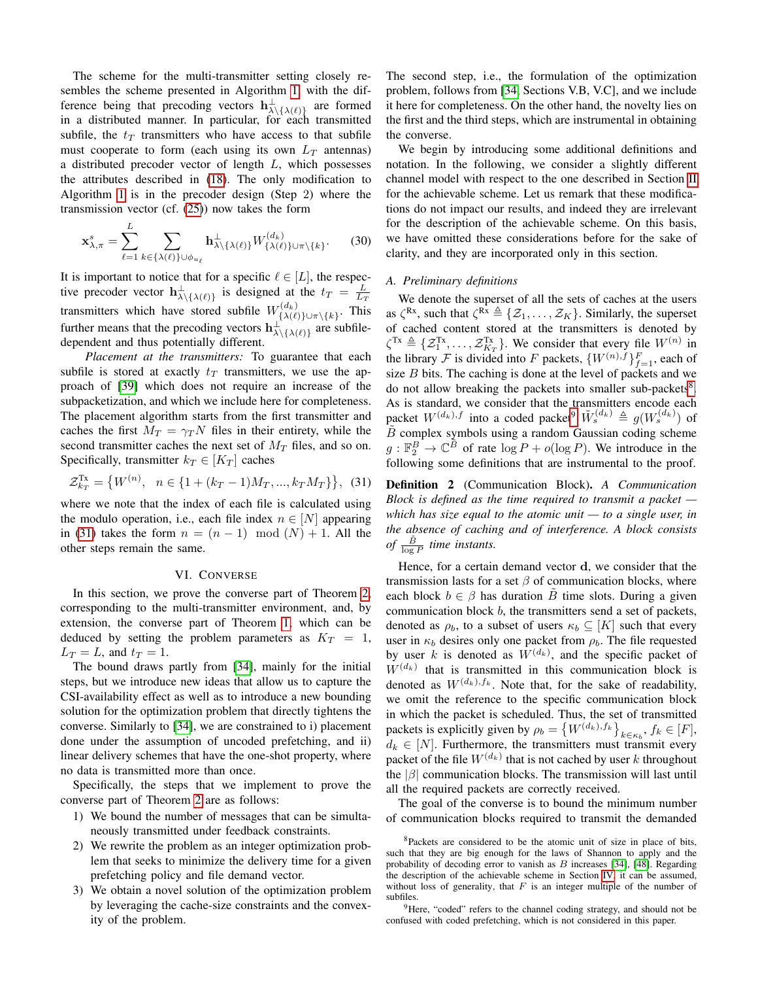The scheme for the multi-transmitter setting closely resembles the scheme presented in Algorithm [1,](#page-6-1) with the difference being that precoding vectors  $\mathbf{h}^{\perp}_{\lambda \setminus {\lambda(\ell)}}$  are formed in a distributed manner. In particular, for each transmitted subfile, the  $t_T$  transmitters who have access to that subfile must cooperate to form (each using its own  $L_T$  antennas) a distributed precoder vector of length L, which possesses the attributes described in [\(18\)](#page-5-4). The only modification to Algorithm [1](#page-6-1) is in the precoder design (Step 2) where the transmission vector (cf. [\(25\)](#page-6-0)) now takes the form

$$
\mathbf{x}_{\lambda,\pi}^s = \sum_{\ell=1}^L \sum_{k \in \{\lambda(\ell)\} \cup \phi_{u_\ell}} \mathbf{h}_{\lambda \setminus \{\lambda(\ell)\}}^{\perp} W_{\{\lambda(\ell)\} \cup \pi \setminus \{k\}}^{(d_k)}.
$$
 (30)

It is important to notice that for a specific  $\ell \in [L]$ , the respective precoder vector  $\mathbf{h}_{\lambda \setminus {\{\lambda(\ell)\}}}^{\perp}$  is designed at the  $t_T = \frac{L}{L_T}$ transmitters which have stored subfile  $W^{(d_k)}_{\{\lambda(\ell)\}\cup\pi\setminus\{k\}}$ . This further means that the precoding vectors  $h^{\perp}_{\lambda \setminus {\{\lambda(\ell)\}}}$  are subfiledependent and thus potentially different.

*Placement at the transmitters:* To guarantee that each subfile is stored at exactly  $t_T$  transmitters, we use the approach of [\[39\]](#page-16-29) which does not require an increase of the subpacketization, and which we include here for completeness. The placement algorithm starts from the first transmitter and caches the first  $M_T = \gamma_T N$  files in their entirety, while the second transmitter caches the next set of  $M_T$  files, and so on. Specifically, transmitter  $k_T \in [K_T]$  caches

$$
\mathcal{Z}_{k_T}^{\text{Tx}} = \{W^{(n)}, \quad n \in \{1 + (k_T - 1)M_T, ..., k_T M_T\}\},\tag{31}
$$

where we note that the index of each file is calculated using the modulo operation, i.e., each file index  $n \in [N]$  appearing in [\(31\)](#page-8-2) takes the form  $n = (n - 1) \mod(N) + 1$ . All the other steps remain the same.

#### VI. CONVERSE

<span id="page-8-1"></span>In this section, we prove the converse part of Theorem [2,](#page-3-2) corresponding to the multi-transmitter environment, and, by extension, the converse part of Theorem [1,](#page-3-1) which can be deduced by setting the problem parameters as  $K_T = 1$ ,  $L_T = L$ , and  $t_T = 1$ .

The bound draws partly from [\[34\]](#page-16-12), mainly for the initial steps, but we introduce new ideas that allow us to capture the CSI-availability effect as well as to introduce a new bounding solution for the optimization problem that directly tightens the converse. Similarly to [\[34\]](#page-16-12), we are constrained to i) placement done under the assumption of uncoded prefetching, and ii) linear delivery schemes that have the one-shot property, where no data is transmitted more than once.

Specifically, the steps that we implement to prove the converse part of Theorem [2](#page-3-2) are as follows:

- 1) We bound the number of messages that can be simultaneously transmitted under feedback constraints.
- 2) We rewrite the problem as an integer optimization problem that seeks to minimize the delivery time for a given prefetching policy and file demand vector.
- 3) We obtain a novel solution of the optimization problem by leveraging the cache-size constraints and the convexity of the problem.

The second step, i.e., the formulation of the optimization problem, follows from [\[34,](#page-16-12) Sections V.B, V.C], and we include it here for completeness. On the other hand, the novelty lies on the first and the third steps, which are instrumental in obtaining the converse.

We begin by introducing some additional definitions and notation. In the following, we consider a slightly different channel model with respect to the one described in Section [II](#page-2-0) for the achievable scheme. Let us remark that these modifications do not impact our results, and indeed they are irrelevant for the description of the achievable scheme. On this basis, we have omitted these considerations before for the sake of clarity, and they are incorporated only in this section.

## <span id="page-8-0"></span>*A. Preliminary definitions*

We denote the superset of all the sets of caches at the users as  $\zeta^{Rx}$ , such that  $\zeta^{Rx} \triangleq \{Z_1, \ldots, Z_K\}$ . Similarly, the superset of cached content stored at the transmitters is denoted by  $\zeta^{Tx} \triangleq \{Z_1^{Tx}, \ldots, Z_{K_T}^{Tx}\}\.$  We consider that every file  $W^{(n)}$  in the library F is divided into F packets,  $\{W^{(n),f}\}_{f=1}^F$ , each of size  $B$  bits. The caching is done at the level of packets and we do not allow breaking the packets into smaller sub-packets<sup>[8](#page-8-3)</sup>. As is standard, we consider that the transmitters encode each packet  $W^{(d_k),f}$  into a coded packet<sup>[9](#page-8-4)</sup>  $\tilde{W}^{(d_k)}_s \triangleq g(W^{(d_k)}_s)$  of  $\tilde{B}$  complex symbols using a random Gaussian coding scheme  $g: \mathbb{F}_2^B \to \mathbb{C}^B$  of rate  $\log P + o(\log P)$ . We introduce in the following some definitions that are instrumental to the proof.

<span id="page-8-2"></span>Definition 2 (Communication Block). *A Communication Block is defined as the time required to transmit a packet which has size equal to the atomic unit — to a single user, in the absence of caching and of interference. A block consists* of  $\frac{\tilde{B}}{\log P}$  time instants.

Hence, for a certain demand vector d, we consider that the transmission lasts for a set  $\beta$  of communication blocks, where each block  $b \in \beta$  has duration B time slots. During a given communication block b, the transmitters send a set of packets, denoted as  $\rho_b$ , to a subset of users  $\kappa_b \subseteq [K]$  such that every user in  $\kappa_b$  desires only one packet from  $\rho_b$ . The file requested by user k is denoted as  $W^{(d_k)}$ , and the specific packet of  $W^{(d_k)}$  that is transmitted in this communication block is denoted as  $W^{(d_k),f_k}$ . Note that, for the sake of readability, we omit the reference to the specific communication block in which the packet is scheduled. Thus, the set of transmitted packets is explicitly given by  $\rho_b = \left\{ W^{(d_k),f_k} \right\}_{k \in \kappa_b}$ ,  $f_k \in [F]$ ,  $d_k \in [N]$ . Furthermore, the transmitters must transmit every packet of the file  $W^{(d_k)}$  that is not cached by user k throughout the  $|\beta|$  communication blocks. The transmission will last until all the required packets are correctly received.

The goal of the converse is to bound the minimum number of communication blocks required to transmit the demanded

<span id="page-8-3"></span><sup>8</sup>Packets are considered to be the atomic unit of size in place of bits, such that they are big enough for the laws of Shannon to apply and the probability of decoding error to vanish as  $B$  increases [\[34\]](#page-16-12), [\[48\]](#page-16-21). Regarding the description of the achievable scheme in Section [IV,](#page-4-0) it can be assumed, without loss of generality, that  $F$  is an integer multiple of the number of subfiles.

<span id="page-8-4"></span><sup>&</sup>lt;sup>9</sup>Here, "coded" refers to the channel coding strategy, and should not be confused with coded prefetching, which is not considered in this paper.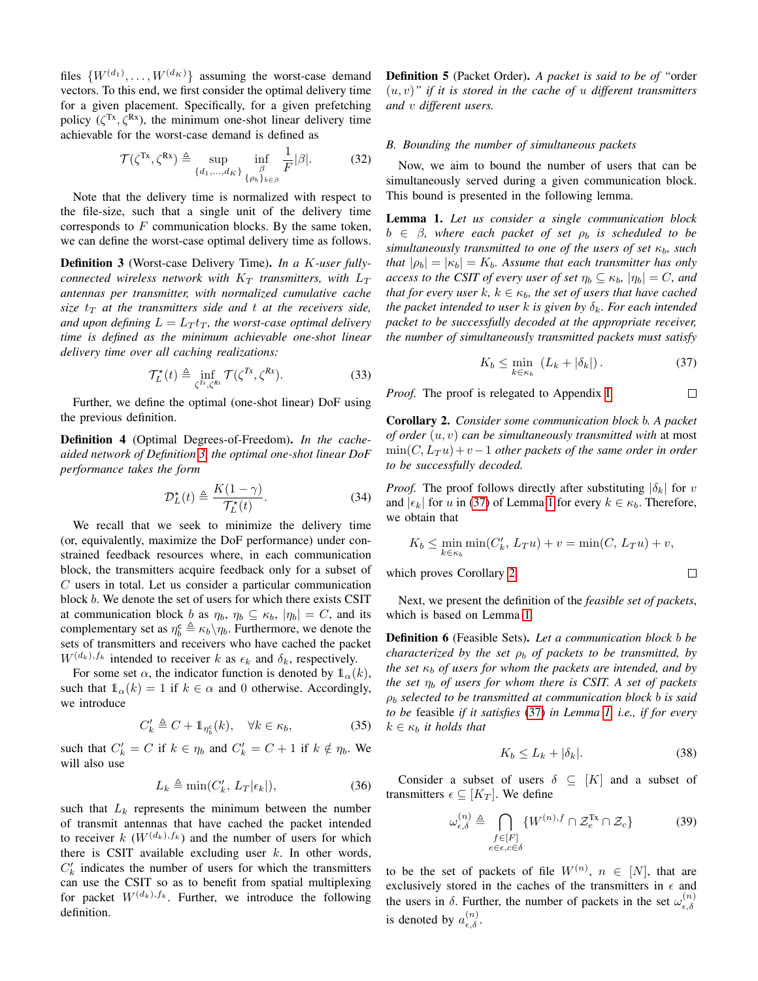files  $\{W^{(d_1)}, \ldots, W^{(d_K)}\}$  assuming the worst-case demand vectors. To this end, we first consider the optimal delivery time for a given placement. Specifically, for a given prefetching policy ( $\zeta^{Tx}$ ,  $\zeta^{Rx}$ ), the minimum one-shot linear delivery time achievable for the worst-case demand is defined as

$$
\mathcal{T}(\zeta^{\text{Tx}}, \zeta^{\text{Rx}}) \triangleq \sup_{\{d_1, \dots, d_K\}} \inf_{\substack{\beta \\ \{\rho_b\}_{b \in \beta}}} \frac{1}{F} |\beta|.
$$
 (32)

Note that the delivery time is normalized with respect to the file-size, such that a single unit of the delivery time corresponds to  $F$  communication blocks. By the same token, we can define the worst-case optimal delivery time as follows.

<span id="page-9-1"></span>Definition 3 (Worst-case Delivery Time). *In a* K*-user fullyconnected wireless network with*  $K_T$  *transmitters, with*  $L_T$ *antennas per transmitter, with normalized cumulative cache size*  $t_T$  *at the transmitters side and*  $t$  *at the receivers side, and upon defining*  $L = L_T t_T$ *, the worst-case optimal delivery time is defined as the minimum achievable one-shot linear delivery time over all caching realizations:*

$$
\mathcal{T}_L^{\star}(t) \triangleq \inf_{\zeta^{Tx}, \zeta^{Rx}} \mathcal{T}(\zeta^{Tx}, \zeta^{Rx}). \tag{33}
$$

Further, we define the optimal (one-shot linear) DoF using the previous definition.

<span id="page-9-0"></span>Definition 4 (Optimal Degrees-of-Freedom). *In the cacheaided network of Definition [3,](#page-9-1) the optimal one-shot linear DoF performance takes the form*

$$
\mathcal{D}_L^{\star}(t) \triangleq \frac{K(1-\gamma)}{\mathcal{T}_L^{\star}(t)}.\tag{34}
$$

We recall that we seek to minimize the delivery time (or, equivalently, maximize the DoF performance) under constrained feedback resources where, in each communication block, the transmitters acquire feedback only for a subset of C users in total. Let us consider a particular communication block b. We denote the set of users for which there exists CSIT at communication block b as  $\eta_b$ ,  $\eta_b \subseteq \kappa_b$ ,  $|\eta_b| = C$ , and its complementary set as  $\eta_b^c \triangleq \kappa_b \backslash \eta_b$ . Furthermore, we denote the sets of transmitters and receivers who have cached the packet  $W^{(d_k),f_k}$  intended to receiver k as  $\epsilon_k$  and  $\delta_k$ , respectively.

For some set  $\alpha$ , the indicator function is denoted by  $\mathbb{1}_{\alpha}(k)$ , such that  $\mathbb{1}_{\alpha}(k) = 1$  if  $k \in \alpha$  and 0 otherwise. Accordingly, we introduce

$$
C'_{k} \triangleq C + \mathbb{1}_{\eta_{b}^{\mathsf{c}}}(k), \quad \forall k \in \kappa_{b}, \tag{35}
$$

such that  $C'_k = C$  if  $k \in \eta_b$  and  $C'_k = C + 1$  if  $k \notin \eta_b$ . We will also use

$$
L_k \triangleq \min(C'_k, L_T|\epsilon_k|),\tag{36}
$$

such that  $L_k$  represents the minimum between the number of transmit antennas that have cached the packet intended to receiver k  $(W^{(d_k),f_k})$  and the number of users for which there is CSIT available excluding user  $k$ . In other words,  $C'_{k}$  indicates the number of users for which the transmitters can use the CSIT so as to benefit from spatial multiplexing for packet  $W^{(d_k),f_k}$ . Further, we introduce the following definition.

Definition 5 (Packet Order). *A packet is said to be of "*order (u, v)*" if it is stored in the cache of* u *different transmitters and* v *different users.*

# <span id="page-9-5"></span>*B. Bounding the number of simultaneous packets*

Now, we aim to bound the number of users that can be simultaneously served during a given communication block. This bound is presented in the following lemma.

<span id="page-9-3"></span>Lemma 1. *Let us consider a single communication block*  $b \in \beta$ , where each packet of set  $\rho_b$  *is scheduled to be simultaneously transmitted to one of the users of set*  $\kappa_b$ *, such that*  $|\rho_b| = |\kappa_b| = K_b$ . Assume that each transmitter has only *access to the CSIT of every user of set*  $\eta_b \subseteq \kappa_b$ ,  $|\eta_b| = C$ *, and that for every user*  $k, k \in \kappa_b$ *, the set of users that have cached the packet intended to user* k *is given by*  $\delta_k$ *. For each intended packet to be successfully decoded at the appropriate receiver, the number of simultaneously transmitted packets must satisfy*

$$
K_b \le \min_{k \in \kappa_b} \left( L_k + |\delta_k| \right). \tag{37}
$$

<span id="page-9-2"></span> $\Box$ 

*Proof.* The proof is relegated to Appendix [I.](#page-11-1)

<span id="page-9-4"></span>Corollary 2. *Consider some communication block* b*. A packet of order* (u, v) *can be simultaneously transmitted with* at most  $min(C, L_T u) + v - 1$  *other packets of the same order in order to be successfully decoded.*

*Proof.* The proof follows directly after substituting  $|\delta_k|$  for v and  $|\epsilon_k|$  for u in [\(37\)](#page-9-2) of Lemma [1](#page-9-3) for every  $k \in \kappa_b$ . Therefore, we obtain that

$$
K_b \leq \min_{k \in \kappa_b} \min(C'_k, L_T u) + v = \min(C, L_T u) + v,
$$
  
which proves Corollary 2.

Next, we present the definition of the *feasible set of packets*, which is based on Lemma [1.](#page-9-3)

<span id="page-9-7"></span>Definition 6 (Feasible Sets). *Let a communication block* b *be characterized by the set*  $\rho_b$  *of packets to be transmitted, by the set*  $κ<sub>b</sub>$  *of users for whom the packets are intended, and by the set*  $\eta_b$  *of users for whom there is CSIT. A set of packets* ρ<sup>b</sup> *selected to be transmitted at communication block* b *is said to be* feasible *if it satisfies* [\(37\)](#page-9-2) *in Lemma [1,](#page-9-3) i.e., if for every*  $k \in \kappa_b$  *it holds that* 

$$
K_b \le L_k + |\delta_k|.\tag{38}
$$

<span id="page-9-6"></span>Consider a subset of users  $\delta \subseteq [K]$  and a subset of transmitters  $\epsilon \subseteq [K_T]$ . We define

$$
\omega_{\epsilon,\delta}^{(n)} \triangleq \bigcap_{\substack{f \in [F] \\ e \in \epsilon, c \in \delta}} \{W^{(n),f} \cap \mathcal{Z}_e^{\text{Tx}} \cap \mathcal{Z}_c\} \tag{39}
$$

to be the set of packets of file  $W^{(n)}$ ,  $n \in [N]$ , that are exclusively stored in the caches of the transmitters in  $\epsilon$  and the users in  $\delta$ . Further, the number of packets in the set  $\omega_{\epsilon \delta}^{(n)}$  $\epsilon, \delta$ is denoted by  $a_{\epsilon,\delta}^{(n)}$ .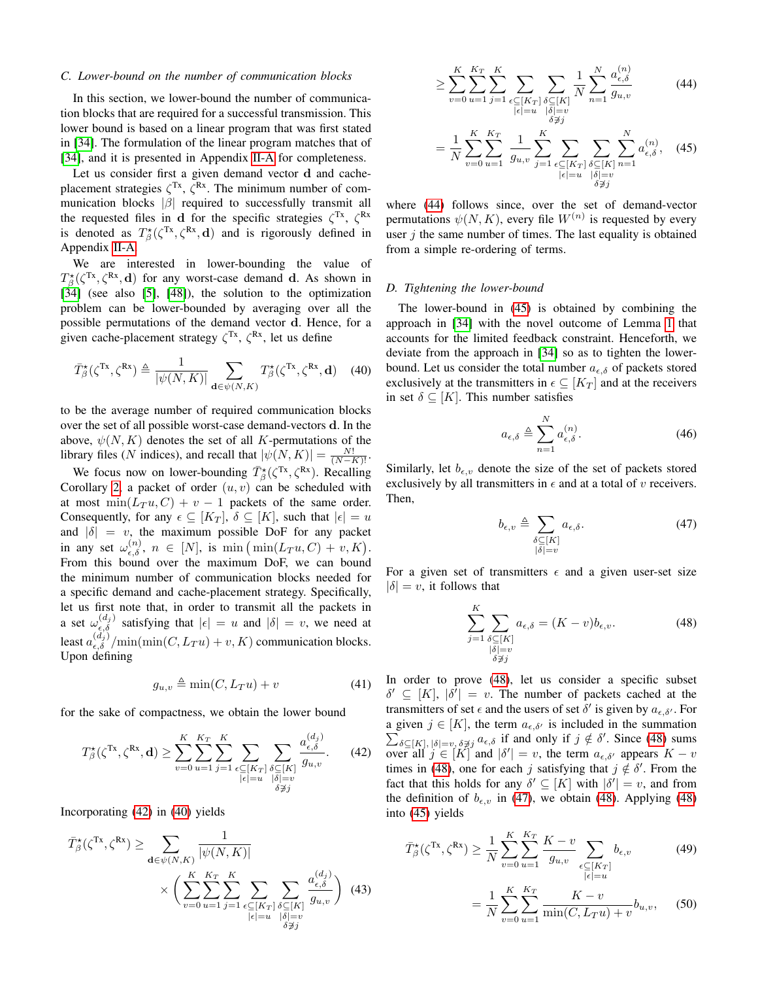# *C. Lower-bound on the number of communication blocks*

In this section, we lower-bound the number of communication blocks that are required for a successful transmission. This lower bound is based on a linear program that was first stated in [\[34\]](#page-16-12). The formulation of the linear program matches that of [\[34\]](#page-16-12), and it is presented in Appendix [II-A](#page-13-1) for completeness.

Let us consider first a given demand vector d and cacheplacement strategies  $\zeta^{Tx}$ ,  $\zeta^{Rx}$ . The minimum number of communication blocks  $|\beta|$  required to successfully transmit all the requested files in d for the specific strategies  $\zeta^{Tx}$ ,  $\zeta^{Rx}$ is denoted as  $T^{\star}_{\beta}(\zeta^{Tx}, \zeta^{Rx}, d)$  and is rigorously defined in Appendix [II-A.](#page-13-1)

We are interested in lower-bounding the value of  $T^{\star}_{\beta}(\zeta^{Tx}, \zeta^{Rx}, \mathbf{d})$  for any worst-case demand **d**. As shown in [\[34\]](#page-16-12) (see also [\[5\]](#page-15-4), [\[48\]](#page-16-21)), the solution to the optimization problem can be lower-bounded by averaging over all the possible permutations of the demand vector d. Hence, for a given cache-placement strategy  $\zeta^{Tx}$ ,  $\zeta^{Rx}$ , let us define

$$
\bar{T}_{\beta}^{\star}(\zeta^{\text{Tx}}, \zeta^{\text{Rx}}) \triangleq \frac{1}{|\psi(N, K)|} \sum_{\mathbf{d} \in \psi(N, K)} T_{\beta}^{\star}(\zeta^{\text{Tx}}, \zeta^{\text{Rx}}, \mathbf{d}) \quad (40)
$$

to be the average number of required communication blocks over the set of all possible worst-case demand-vectors d. In the above,  $\psi(N, K)$  denotes the set of all K-permutations of the library files (N indices), and recall that  $|\psi(N, K)| = \frac{N!}{(N-K)!}$ .

We focus now on lower-bounding  $\bar{T}_{\beta}^{\star}(\zeta^{Tx}, \zeta^{Rx})$ . Recalling Corollary [2,](#page-9-4) a packet of order  $(u, v)$  can be scheduled with at most  $min(L_T u, C) + v - 1$  packets of the same order. Consequently, for any  $\epsilon \subseteq [K_T]$ ,  $\delta \subseteq [K]$ , such that  $|\epsilon| = u$ and  $|\delta| = v$ , the maximum possible DoF for any packet in any set  $\omega_{\epsilon,\delta}^{(n)}$ ,  $n \in [N]$ , is min  $(\min(L_T u, C) + v, K)$ . From this bound over the maximum DoF, we can bound the minimum number of communication blocks needed for a specific demand and cache-placement strategy. Specifically, let us first note that, in order to transmit all the packets in a set  $\omega_{\epsilon,\delta}^{(d_j)}$  satisfying that  $|\epsilon| = u$  and  $|\delta| = v$ , we need at least  $a_{\epsilon,\delta}^{(d_j)}/\text{min}(\text{min}(C, L_T u) + v, K)$  communication blocks. Upon defining

$$
g_{u,v} \triangleq \min(C, L_T u) + v \tag{41}
$$

for the sake of compactness, we obtain the lower bound

$$
T_{\beta}^{\star}(\zeta^{\mathrm{Tx}}, \zeta^{\mathrm{Rx}}, \mathbf{d}) \ge \sum_{v=0}^{K} \sum_{u=1}^{K_{T}} \sum_{\substack{j=1 \ \epsilon \subseteq [K_{T}]}} \sum_{\substack{\delta \subseteq [K] \\ |\delta| = u}} \frac{a_{\epsilon, \delta}^{(d_{j})}}{g_{u, v}}.
$$
 (42)

Incorporating [\(42\)](#page-10-0) in [\(40\)](#page-10-1) yields

$$
\bar{T}_{\beta}^{\star}(\zeta^{\mathsf{Tx}}, \zeta^{\mathsf{Rx}}) \ge \sum_{\mathbf{d} \in \psi(N, K)} \frac{1}{|\psi(N, K)|} \times \left( \sum_{v=0}^{K} \sum_{u=1}^{K} \sum_{\substack{j=1 \ \epsilon \subseteq [K_T] \\ |\epsilon| = u}} \sum_{\substack{\delta \subseteq [K] \\ |\delta| = v \\ \delta \ne j}} \frac{a_{\epsilon, \delta}^{(d_j)}}{g_{u, v}} \right) (43)
$$

<span id="page-10-2"></span>
$$
\geq \sum_{v=0}^{K} \sum_{u=1}^{K_T} \sum_{\substack{j=1 \ \epsilon \subseteq [K_T]}} \sum_{\substack{\delta \subseteq [K] \\ |\delta| = v}} \frac{1}{N} \sum_{n=1}^{N} \frac{a_{\epsilon,\delta}^{(n)}}{g_{u,v}} \tag{44}
$$

<span id="page-10-3"></span>
$$
= \frac{1}{N} \sum_{v=0}^{K} \sum_{u=1}^{K_T} \frac{1}{g_{u,v}} \sum_{j=1}^{K} \sum_{\substack{\epsilon \subseteq [K_T] \\ |\epsilon| = u}} \sum_{\substack{\delta \subseteq [K] \\ |\delta| = v \\ \delta \neq j}} \sum_{n=1}^{N} a_{\epsilon,\delta}^{(n)}, \quad (45)
$$

where [\(44\)](#page-10-2) follows since, over the set of demand-vector permutations  $\psi(N, K)$ , every file  $W^{(n)}$  is requested by every user  $j$  the same number of times. The last equality is obtained from a simple re-ordering of terms.

## *D. Tightening the lower-bound*

<span id="page-10-1"></span>The lower-bound in [\(45\)](#page-10-3) is obtained by combining the approach in [\[34\]](#page-16-12) with the novel outcome of Lemma [1](#page-9-3) that accounts for the limited feedback constraint. Henceforth, we deviate from the approach in [\[34\]](#page-16-12) so as to tighten the lowerbound. Let us consider the total number  $a_{\epsilon,\delta}$  of packets stored exclusively at the transmitters in  $\epsilon \subseteq [K_T]$  and at the receivers in set  $\delta \subseteq [K]$ . This number satisfies

$$
a_{\epsilon,\delta} \triangleq \sum_{n=1}^{N} a_{\epsilon,\delta}^{(n)}.
$$
 (46)

Similarly, let  $b_{\epsilon,v}$  denote the size of the set of packets stored exclusively by all transmitters in  $\epsilon$  and at a total of v receivers. Then,

<span id="page-10-5"></span><span id="page-10-4"></span>
$$
b_{\epsilon,v} \triangleq \sum_{\substack{\delta \subseteq [K] \\ |\delta| = v}} a_{\epsilon,\delta}.\tag{47}
$$

For a given set of transmitters  $\epsilon$  and a given user-set size  $|\delta| = v$ , it follows that

$$
\sum_{j=1}^{K} \sum_{\substack{\delta \subseteq [K] \\ |\delta| = v \\ \delta \neq j}} a_{\epsilon,\delta} = (K - v)b_{\epsilon,v}.
$$
 (48)

<span id="page-10-7"></span><span id="page-10-0"></span>In order to prove [\(48\)](#page-10-4), let us consider a specific subset  $\delta' \subseteq [K], |\delta'| = v$ . The number of packets cached at the transmitters of set  $\epsilon$  and the users of set  $\delta'$  is given by  $a_{\epsilon,\delta'}$ . For a given  $j \in [K]$ , the term  $a_{\epsilon,\delta'}$  is included in the summation a given  $j \in [K]$ , the term  $a_{\epsilon,\delta'}$  is included in the summation  $\sum_{\delta \subseteq [K], |\delta| = v, \delta \not\supset \mathcal{J}} a_{\epsilon,\delta}$  if and only if  $j \notin \delta'$ . Since [\(48\)](#page-10-4) sums over all  $j \in [K]$  and  $|\delta'| = v$ , the term  $a_{\epsilon,\delta'}$  appears  $K - v$ times in [\(48\)](#page-10-4), one for each j satisfying that  $j \notin \delta'$ . From the fact that this holds for any  $\delta' \subseteq [K]$  with  $|\delta'| = v$ , and from the definition of  $b_{\epsilon,v}$  in [\(47\)](#page-10-5), we obtain [\(48\)](#page-10-4). Applying (48) into [\(45\)](#page-10-3) yields

$$
\bar{T}_{\beta}^{\star}(\zeta^{\text{Tx}}, \zeta^{\text{Rx}}) \ge \frac{1}{N} \sum_{v=0}^{K} \sum_{u=1}^{K_T} \frac{K-v}{g_{u,v}} \sum_{\substack{\epsilon \subseteq [K_T] \\ |\epsilon| = u}} b_{\epsilon, v} \tag{49}
$$

<span id="page-10-6"></span>
$$
= \frac{1}{N} \sum_{v=0}^{K} \sum_{u=1}^{K_T} \frac{K - v}{\min(C, L_T u) + v} b_{u,v}, \quad (50)
$$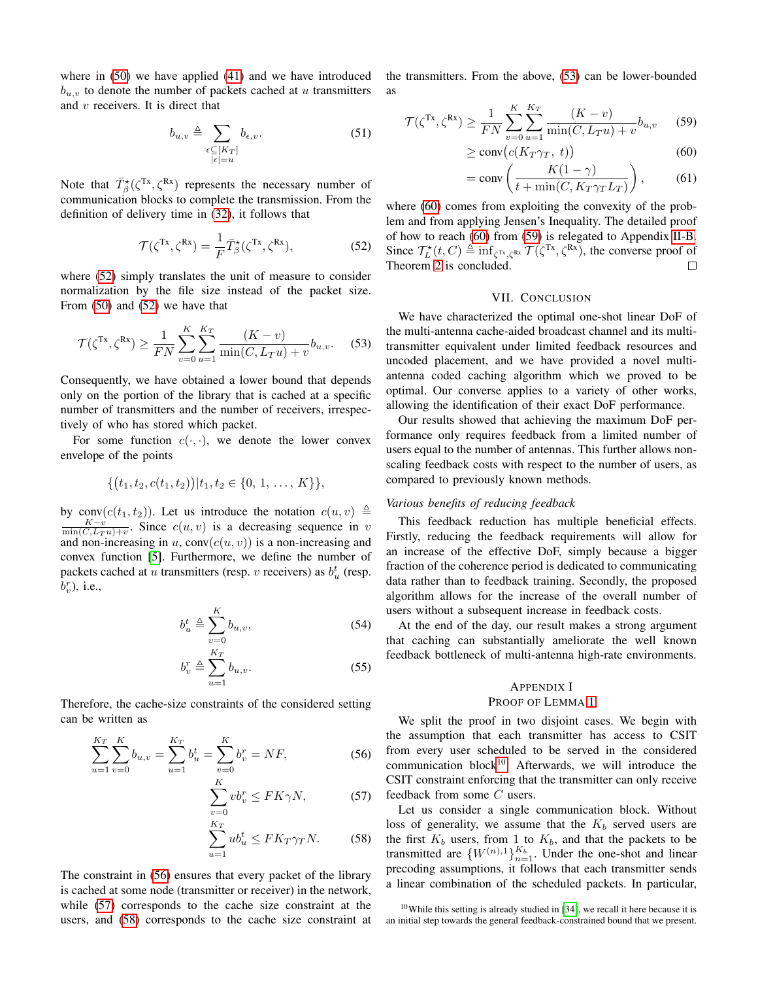where in [\(50\)](#page-10-6) we have applied [\(41\)](#page-10-7) and we have introduced  $b_{u,v}$  to denote the number of packets cached at u transmitters and  $v$  receivers. It is direct that

$$
b_{u,v} \triangleq \sum_{\substack{\epsilon \subseteq [K_T] \\ |\epsilon| = u}} b_{\epsilon,v}.
$$
 (51)

Note that  $\overline{T}_{\beta}^{\star}(\zeta^{Tx}, \zeta^{Rx})$  represents the necessary number of communication blocks to complete the transmission. From the definition of delivery time in [\(32\)](#page-9-5), it follows that

$$
\mathcal{T}(\zeta^{\text{Tx}}, \zeta^{\text{Rx}}) = \frac{1}{F} \bar{T}_{\beta}^{\star}(\zeta^{\text{Tx}}, \zeta^{\text{Rx}}), \tag{52}
$$

where [\(52\)](#page-11-2) simply translates the unit of measure to consider normalization by the file size instead of the packet size. From [\(50\)](#page-10-6) and [\(52\)](#page-11-2) we have that

$$
\mathcal{T}(\zeta^{\text{Tx}}, \zeta^{\text{Rx}}) \ge \frac{1}{FN} \sum_{v=0}^{K} \sum_{u=1}^{K_T} \frac{(K-v)}{\min(C, L_T u) + v} b_{u,v}. \tag{53}
$$

Consequently, we have obtained a lower bound that depends only on the portion of the library that is cached at a specific number of transmitters and the number of receivers, irrespectively of who has stored which packet.

For some function  $c(\cdot, \cdot)$ , we denote the lower convex envelope of the points

$$
\{(t_1, t_2, c(t_1, t_2)) | t_1, t_2 \in \{0, 1, \ldots, K\} \},\
$$

by conv $(c(t_1, t_2))$ . Let us introduce the notation  $c(u, v) \triangleq$  $\frac{K-v}{\min(C, L_T u)+v}$ . Since  $c(u, v)$  is a decreasing sequence in v and non-increasing in u,  $conv(c(u, v))$  is a non-increasing and convex function [\[5\]](#page-15-4). Furthermore, we define the number of packets cached at u transmitters (resp. v receivers) as  $b_u^t$  (resp.  $b_v^r$ ), i.e.,

$$
b_u^t \triangleq \sum_{v=0}^K b_{u,v},\tag{54}
$$

$$
b_v^r \triangleq \sum_{u=1}^{K_T} b_{u,v}.\tag{55}
$$

Therefore, the cache-size constraints of the considered setting can be written as

$$
\sum_{u=1}^{K_T} \sum_{v=0}^{K} b_{u,v} = \sum_{u=1}^{K_T} b_u^t = \sum_{v=0}^{K} b_v^r = NF,
$$
\n(56)

$$
\sum_{v=0}^{K} v b_v^r \le F K \gamma N,\tag{57}
$$

$$
\sum_{u=1}^{K_T} u b_u^t \le F K_T \gamma_T N. \tag{58}
$$

The constraint in [\(56\)](#page-11-3) ensures that every packet of the library is cached at some node (transmitter or receiver) in the network, while [\(57\)](#page-11-4) corresponds to the cache size constraint at the users, and [\(58\)](#page-11-5) corresponds to the cache size constraint at the transmitters. From the above, [\(53\)](#page-11-6) can be lower-bounded as

$$
\mathcal{T}(\zeta^{\text{Tx}}, \zeta^{\text{Rx}}) \ge \frac{1}{FN} \sum_{v=0}^{K} \sum_{u=1}^{K_T} \frac{(K-v)}{\min(C, L_T u) + v} b_{u,v} \tag{59}
$$

<span id="page-11-8"></span><span id="page-11-7"></span>
$$
\geq \operatorname{conv}\big(c(K_T\gamma_T, t)\big) \tag{60}
$$

$$
= \text{conv}\left(\frac{K(1-\gamma)}{t + \min(C, K_T \gamma_T L_T)}\right),\tag{61}
$$

<span id="page-11-2"></span>where  $(60)$  comes from exploiting the convexity of the problem and from applying Jensen's Inequality. The detailed proof of how to reach [\(60\)](#page-11-7) from [\(59\)](#page-11-8) is relegated to Appendix [II-B.](#page-13-2) Since  $\mathcal{T}_L^*(t, C) \triangleq \inf_{\zeta^{Tx}, \zeta^{Rx}} \mathcal{T}(\zeta^{Tx}, \zeta^{Rx})$ , the converse proof of Theorem [2](#page-3-2) is concluded.  $\Box$ 

# VII. CONCLUSION

<span id="page-11-6"></span><span id="page-11-0"></span>We have characterized the optimal one-shot linear DoF of the multi-antenna cache-aided broadcast channel and its multitransmitter equivalent under limited feedback resources and uncoded placement, and we have provided a novel multiantenna coded caching algorithm which we proved to be optimal. Our converse applies to a variety of other works, allowing the identification of their exact DoF performance.

Our results showed that achieving the maximum DoF performance only requires feedback from a limited number of users equal to the number of antennas. This further allows nonscaling feedback costs with respect to the number of users, as compared to previously known methods.

# *Various benefits of reducing feedback*

This feedback reduction has multiple beneficial effects. Firstly, reducing the feedback requirements will allow for an increase of the effective DoF, simply because a bigger fraction of the coherence period is dedicated to communicating data rather than to feedback training. Secondly, the proposed algorithm allows for the increase of the overall number of users without a subsequent increase in feedback costs.

At the end of the day, our result makes a strong argument that caching can substantially ameliorate the well known feedback bottleneck of multi-antenna high-rate environments.

# <span id="page-11-1"></span>APPENDIX I

# PROOF OF LEMMA [1](#page-9-3)

<span id="page-11-3"></span>We split the proof in two disjoint cases. We begin with the assumption that each transmitter has access to CSIT from every user scheduled to be served in the considered communication block<sup>[10](#page-11-9)</sup>. Afterwards, we will introduce the CSIT constraint enforcing that the transmitter can only receive feedback from some C users.

<span id="page-11-5"></span><span id="page-11-4"></span>Let us consider a single communication block. Without loss of generality, we assume that the  $K_b$  served users are the first  $K_b$  users, from 1 to  $K_b$ , and that the packets to be transmitted are  $\{W^{(n),1}\}_{n=1}^{K_b}$ . Under the one-shot and linear precoding assumptions, it follows that each transmitter sends a linear combination of the scheduled packets. In particular,

<span id="page-11-9"></span> $10$ While this setting is already studied in [\[34\]](#page-16-12), we recall it here because it is an initial step towards the general feedback-constrained bound that we present.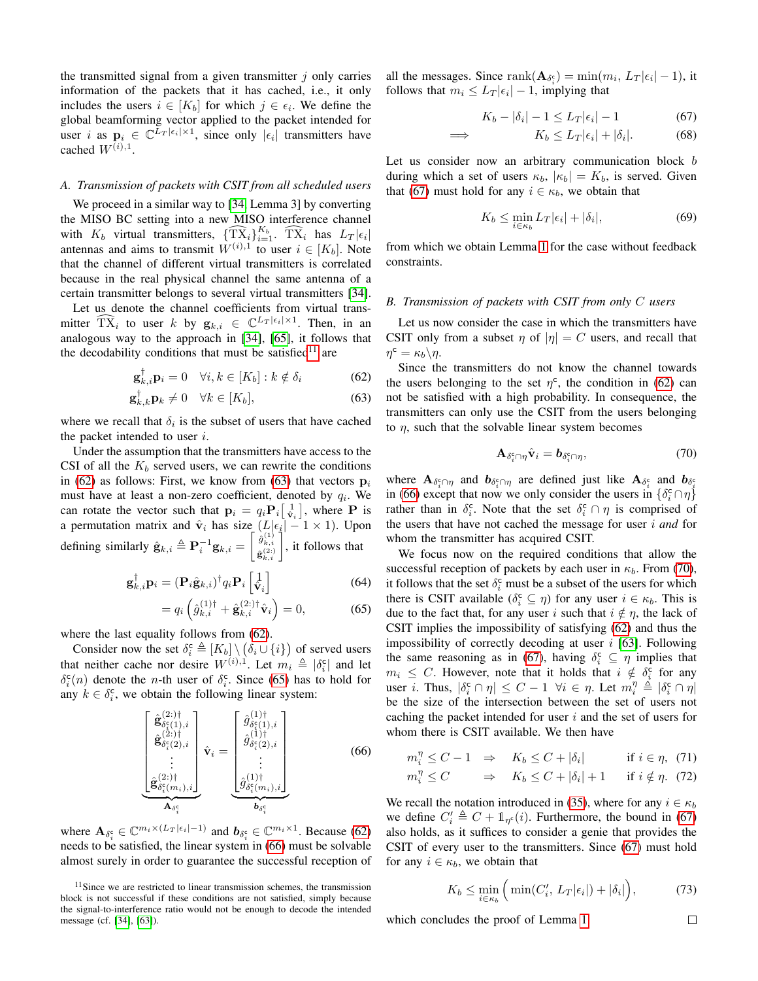the transmitted signal from a given transmitter  $j$  only carries information of the packets that it has cached, i.e., it only includes the users  $i \in [K_b]$  for which  $j \in \epsilon_i$ . We define the global beamforming vector applied to the packet intended for user i as  $\mathbf{p}_i \in \mathbb{C}^{\bar{L}_T |\epsilon_i| \times 1}$ , since only  $|\epsilon_i|$  transmitters have cached  $W^{(i),1}$ .

# *A. Transmission of packets with CSIT from all scheduled users*

We proceed in a similar way to [\[34,](#page-16-12) Lemma 3] by converting the MISO BC setting into a new MISO interference channel with  $K_b$  virtual transmitters,  $\{\widehat{TX}_i\}_{i=1}^{K_b}$ .  $\widehat{TX}_i$  has  $L_T|\epsilon_i|$ antennas and aims to transmit  $W^{(i),1}$  to user  $i \in [K_b]$ . Note that the channel of different virtual transmitters is correlated because in the real physical channel the same antenna of a certain transmitter belongs to several virtual transmitters [\[34\]](#page-16-12).

Let us denote the channel coefficients from virtual transmitter  $\widehat{TX}_i$  to user k by  $\mathbf{g}_{k,i} \in \mathbb{C}^{L_T |\epsilon_i| \times 1}$ . Then, in an analogous way to the approach in [\[34\]](#page-16-12), [\[65\]](#page-17-5), it follows that the decodability conditions that must be satisfied<sup>[11](#page-12-0)</sup> are

$$
\mathbf{g}_{k,i}^{\dagger} \mathbf{p}_i = 0 \quad \forall i, k \in [K_b] : k \notin \delta_i \tag{62}
$$

$$
\mathbf{g}_{k,k}^{\dagger} \mathbf{p}_k \neq 0 \quad \forall k \in [K_b], \tag{63}
$$

where we recall that  $\delta_i$  is the subset of users that have cached the packet intended to user  $i$ .

Under the assumption that the transmitters have access to the CSI of all the  $K_b$  served users, we can rewrite the conditions in [\(62\)](#page-12-1) as follows: First, we know from [\(63\)](#page-12-2) that vectors  $p_i$ must have at least a non-zero coefficient, denoted by  $q_i$ . We can rotate the vector such that  $p_i = q_i P_i \begin{bmatrix} 1 \\ \hat{v}_i \end{bmatrix}$ , where P is a permutation matrix and  $\hat{\mathbf{v}}_i$  has size  $(L|\epsilon_i| - 1 \times 1)$ . Upon defining similarly  $\hat{\mathbf{g}}_{k,i} \triangleq \mathbf{P}_i^{-1} \mathbf{g}_{k,i} = \begin{bmatrix} \hat{g}_{k,i}^{(1)} \\ \hat{g}_{k,i}^{(2)} \end{bmatrix}$  $\left(\begin{array}{c} \hat{g}_{k,i}^{(1)} \\ \hat{g}_{k,i}^{(2)} \end{array}\right)$ , it follows that

$$
\mathbf{g}_{k,i}^{\dagger} \mathbf{p}_i = (\mathbf{P}_i \hat{\mathbf{g}}_{k,i})^{\dagger} q_i \mathbf{P}_i \begin{bmatrix} 1 \\ \hat{\mathbf{v}}_i \end{bmatrix}
$$
(64)

$$
= q_i \left( \hat{g}_{k,i}^{(1)\dagger} + \hat{\mathbf{g}}_{k,i}^{(2:\dagger)\dagger} \hat{\mathbf{v}}_i \right) = 0, \tag{65}
$$

where the last equality follows from [\(62\)](#page-12-1).

Consider now the set  $\delta_i^{\mathsf{c}} \triangleq [K_b] \setminus (\delta_i \cup \{i\})$  of served users that neither cache nor desire  $W^{(i),1}$ . Let  $m_i \triangleq |\delta_i^{\mathsf{c}}|$  and let  $\delta_i^c(n)$  denote the *n*-th user of  $\delta_i^c$ . Since [\(65\)](#page-12-3) has to hold for any  $k \in \delta_i^c$ , we obtain the following linear system:

$$
\begin{bmatrix}\n\hat{\mathbf{g}}_{\delta_{\xi}^{c}(1),i}^{(2\cdot)\dagger} \\
\hat{\mathbf{g}}_{\delta_{\xi}^{c}(2),i}^{(2\cdot)\dagger} \\
\vdots \\
\hat{\mathbf{g}}_{\delta_{\xi}^{c}(m_i),i}^{(2\cdot)\dagger}\n\end{bmatrix}\n\hat{\mathbf{v}}_{i} = \begin{bmatrix}\n\hat{g}_{\delta_{\xi}^{c}(1),i}^{(1)\dagger} \\
\hat{g}_{\delta_{\xi}^{c}(2),i}^{(1)\dagger} \\
\vdots \\
\hat{g}_{\delta_{\xi}^{c}(m_i),i}^{(1)\dagger}\n\end{bmatrix} \qquad (66)
$$

where  $\mathbf{A}_{\delta_i^c} \in \mathbb{C}^{m_i \times (L_T|\epsilon_i|-1)}$  and  $\mathbf{b}_{\delta_i^c} \in \mathbb{C}^{m_i \times 1}$ . Because [\(62\)](#page-12-1) needs to be satisfied, the linear system in [\(66\)](#page-12-4) must be solvable almost surely in order to guarantee the successful reception of all the messages. Since  $\text{rank}(\mathbf{A}_{\delta_i^c}) = \min(m_i, L_T | \epsilon_i | - 1)$ , it follows that  $m_i \leq L_T |\epsilon_i| - 1$ , implying that

<span id="page-12-5"></span>
$$
K_b - |\delta_i| - 1 \le L_T |\epsilon_i| - 1 \tag{67}
$$

$$
\implies \qquad K_b \le L_T |\epsilon_i| + |\delta_i|. \tag{68}
$$

Let us consider now an arbitrary communication block b during which a set of users  $\kappa_b$ ,  $|\kappa_b| = K_b$ , is served. Given that [\(67\)](#page-12-5) must hold for any  $i \in \kappa_b$ , we obtain that

$$
K_b \le \min_{i \in \kappa_b} L_T |\epsilon_i| + |\delta_i|,\tag{69}
$$

from which we obtain Lemma [1](#page-9-3) for the case without feedback constraints.

# *B. Transmission of packets with CSIT from only* C *users*

Let us now consider the case in which the transmitters have CSIT only from a subset  $\eta$  of  $|\eta| = C$  users, and recall that  $\eta^{\mathsf{c}} = \kappa_b \backslash \eta.$ 

<span id="page-12-2"></span><span id="page-12-1"></span>Since the transmitters do not know the channel towards the users belonging to the set  $\eta^c$ , the condition in [\(62\)](#page-12-1) can not be satisfied with a high probability. In consequence, the transmitters can only use the CSIT from the users belonging to  $\eta$ , such that the solvable linear system becomes

<span id="page-12-6"></span>
$$
\mathbf{A}_{\delta_i^c \cap \eta} \hat{\mathbf{v}}_i = \mathbf{b}_{\delta_i^c \cap \eta},\tag{70}
$$

where  $\mathbf{A}_{\delta_i^c \cap \eta}$  and  $\mathbf{b}_{\delta_i^c \cap \eta}$  are defined just like  $\mathbf{A}_{\delta_i^c}$  and  $\mathbf{b}_{\delta_i^c}$ in [\(66\)](#page-12-4) except that now we only consider the users in  $\{\delta_i^c \cap \eta\}$ rather than in  $\delta_i^c$ . Note that the set  $\delta_i^c \cap \eta$  is comprised of the users that have not cached the message for user i *and* for whom the transmitter has acquired CSIT.

<span id="page-12-3"></span>We focus now on the required conditions that allow the successful reception of packets by each user in  $\kappa_b$ . From [\(70\)](#page-12-6), it follows that the set  $\delta_i^c$  must be a subset of the users for which there is CSIT available  $(\delta_i^c \subseteq \eta)$  for any user  $i \in \kappa_b$ . This is due to the fact that, for any user i such that  $i \notin \eta$ , the lack of CSIT implies the impossibility of satisfying [\(62\)](#page-12-1) and thus the impossibility of correctly decoding at user  $i$  [\[63\]](#page-17-3). Following the same reasoning as in [\(67\)](#page-12-5), having  $\delta_i^c \subseteq \eta$  implies that  $m_i \leq C$ . However, note that it holds that  $i \notin \delta_i^{\mathsf{c}}$  for any user *i*. Thus,  $|\delta_i^c \cap \eta| \leq C - 1 \ \forall i \in \eta$ . Let  $m_i^{\eta} \triangleq |\delta_i^c \cap \eta|$ be the size of the intersection between the set of users not caching the packet intended for user  $i$  and the set of users for whom there is CSIT available. We then have

<span id="page-12-4"></span>
$$
m_i^{\eta} \leq C - 1 \quad \Rightarrow \quad K_b \leq C + |\delta_i| \qquad \text{if } i \in \eta, \tag{71}
$$
\n
$$
m_i^{\eta} \leq C \qquad \Rightarrow \quad K_b \leq C + |\delta_i| + 1 \qquad \text{if } i \notin \eta. \tag{72}
$$

We recall the notation introduced in [\(35\)](#page-9-6), where for any  $i \in \kappa_b$ we define  $C_i' \triangleq C + \mathbb{1}_{\eta^c}(i)$ . Furthermore, the bound in [\(67\)](#page-12-5) also holds, as it suffices to consider a genie that provides the CSIT of every user to the transmitters. Since [\(67\)](#page-12-5) must hold for any  $i \in \kappa_b$ , we obtain that

$$
K_b \le \min_{i \in \kappa_b} \Big( \min(C_i', L_T | \epsilon_i|) + |\delta_i| \Big), \tag{73}
$$

which concludes the proof of Lemma [1.](#page-9-3)

<span id="page-12-0"></span><sup>&</sup>lt;sup>11</sup>Since we are restricted to linear transmission schemes, the transmission block is not successful if these conditions are not satisfied, simply because the signal-to-interference ratio would not be enough to decode the intended message (cf. [\[34\]](#page-16-12), [\[63\]](#page-17-3)).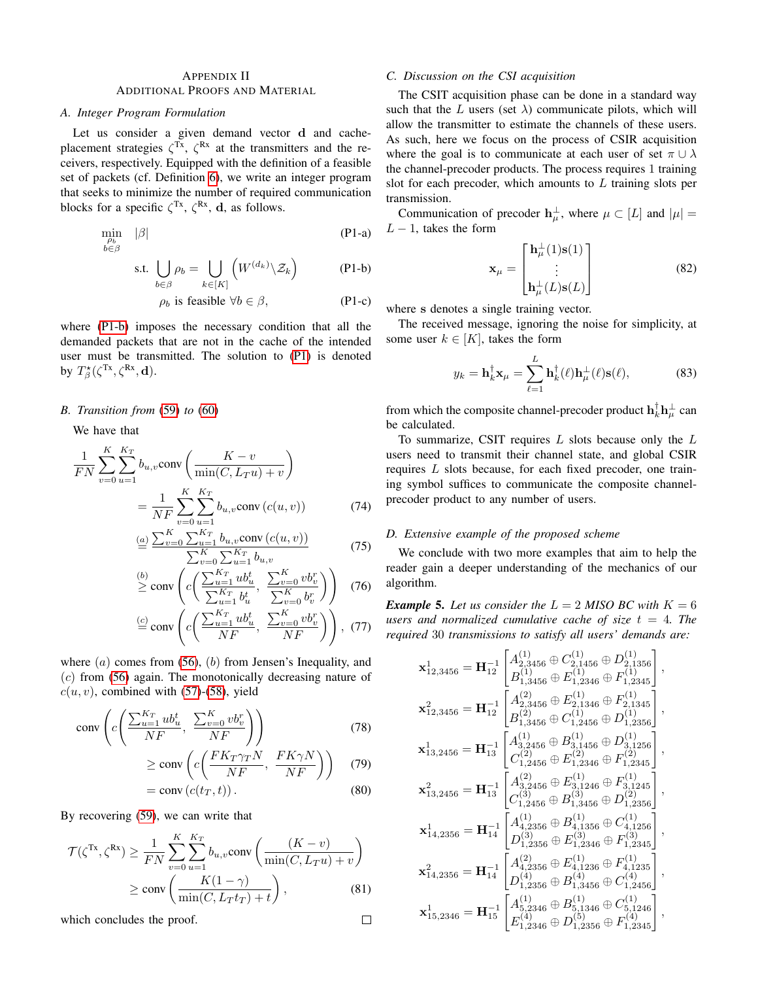# APPENDIX II ADDITIONAL PROOFS AND MATERIAL

#### <span id="page-13-1"></span>*A. Integer Program Formulation*

Let us consider a given demand vector d and cacheplacement strategies  $\zeta^{Tx}$ ,  $\zeta^{Rx}$  at the transmitters and the receivers, respectively. Equipped with the definition of a feasible set of packets (cf. Definition [6\)](#page-9-7), we write an integer program that seeks to minimize the number of required communication blocks for a specific  $\zeta^{Tx}$ ,  $\zeta^{Rx}$ , d, as follows.

$$
\min_{\substack{\rho_b\\b\in\beta}}\quad |\beta|\tag{P1-a}
$$

$$
\text{s.t. } \bigcup_{b \in \beta} \rho_b = \bigcup_{k \in [K]} \left( W^{(d_k)} \backslash \mathcal{Z}_k \right) \tag{P1-b}
$$

$$
\rho_b \text{ is feasible } \forall b \in \beta, \tag{P1-c}
$$

where [\(P1-b\)](#page-13-3) imposes the necessary condition that all the demanded packets that are not in the cache of the intended user must be transmitted. The solution to [\(P1\)](#page-13-4) is denoted by  $T^{\star}_{\beta}(\zeta^{\text{Tx}}, \zeta^{\text{Rx}}, \mathbf{d}).$ 

## <span id="page-13-2"></span>*B. Transition from* [\(59\)](#page-11-8) *to* [\(60\)](#page-11-7)

We have that

$$
\frac{1}{FN} \sum_{v=0}^{K} \sum_{u=1}^{K_T} b_{u,v} \text{conv}\left(\frac{K-v}{\min(C, L_T u) + v}\right)
$$

$$
= \frac{1}{NF} \sum_{v=0}^{K} \sum_{u=1}^{K_T} b_{u,v} \text{conv}\left(c(u, v)\right) \tag{74}
$$

$$
\stackrel{(a)}{=} \frac{\sum_{v=0}^{K} \sum_{u=1}^{K_T} b_{u,v} \text{conv}\left(c(u,v)\right)}{\sum_{v=0}^{K} \sum_{u=1}^{K_T} b_{u,v}}
$$
\n(75)

$$
\overset{(b)}{\geq} \text{conv}\left(c\left(\frac{\sum_{u=1}^{K_T} ub_u^t}{\sum_{u=1}^{K_T} b_u^t}, \frac{\sum_{v=0}^{K} vb_v^r}{\sum_{v=0}^{K} b_v^r}\right)\right) \tag{76}
$$

$$
\stackrel{(c)}{=} \operatorname{conv}\left(c\left(\frac{\sum_{u=1}^{K_T} ub_u^t}{NF}, \ \frac{\sum_{v=0}^{K} vb_v^r}{NF}\right)\right), \ (77)
$$

where  $(a)$  comes from [\(56\)](#page-11-3),  $(b)$  from Jensen's Inequality, and  $(c)$  from [\(56\)](#page-11-3) again. The monotonically decreasing nature of  $c(u, v)$ , combined with [\(57\)](#page-11-4)-[\(58\)](#page-11-5), yield

$$
\operatorname{conv}\left(c\left(\frac{\sum_{u=1}^{K_T} ub_u^t}{NF}, \frac{\sum_{v=0}^{K} vb_v^r}{NF}\right)\right) \tag{78}
$$

$$
\geq \text{conv}\left(c\left(\frac{FK_T\gamma_T N}{NF}, \frac{FK\gamma N}{NF}\right)\right) \tag{79}
$$

$$
= \operatorname{conv}\left(c(t_T, t)\right). \tag{80}
$$

 $\Box$ 

By recovering [\(59\)](#page-11-8), we can write that

$$
\mathcal{T}(\zeta^{\text{Tx}}, \zeta^{\text{Rx}}) \ge \frac{1}{FN} \sum_{v=0}^{K} \sum_{u=1}^{K_T} b_{u,v} \text{conv}\left(\frac{(K-v)}{\min(C, L_T u) + v}\right) \ge \text{conv}\left(\frac{K(1-\gamma)}{\min(C, L_T t_T) + t}\right),\tag{81}
$$

which concludes the proof.

# <span id="page-13-0"></span>*C. Discussion on the CSI acquisition*

The CSIT acquisition phase can be done in a standard way such that the L users (set  $\lambda$ ) communicate pilots, which will allow the transmitter to estimate the channels of these users. As such, here we focus on the process of CSIR acquisition where the goal is to communicate at each user of set  $\pi \cup \lambda$ the channel-precoder products. The process requires 1 training slot for each precoder, which amounts to  $L$  training slots per transmission.

<span id="page-13-4"></span><span id="page-13-3"></span>Communication of precoder  $\mathbf{h}_{\mu}^{\perp}$ , where  $\mu \subset [L]$  and  $|\mu| =$  $L - 1$ , takes the form

$$
\mathbf{x}_{\mu} = \begin{bmatrix} \mathbf{h}_{\mu}^{\perp}(1)\mathbf{s}(1) \\ \vdots \\ \mathbf{h}_{\mu}^{\perp}(L)\mathbf{s}(L) \end{bmatrix}
$$
(82)

where s denotes a single training vector.

The received message, ignoring the noise for simplicity, at some user  $k \in [K]$ , takes the form

$$
y_k = \mathbf{h}_k^{\dagger} \mathbf{x}_{\mu} = \sum_{\ell=1}^{L} \mathbf{h}_k^{\dagger}(\ell) \mathbf{h}_{\mu}^{\perp}(\ell) \mathbf{s}(\ell), \tag{83}
$$

from which the composite channel-precoder product  $\mathbf{h}_k^{\dagger} \mathbf{h}_{\mu}^{\perp}$  can be calculated.

To summarize, CSIT requires  $L$  slots because only the  $L$ users need to transmit their channel state, and global CSIR requires L slots because, for each fixed precoder, one training symbol suffices to communicate the composite channelprecoder product to any number of users.

## *D. Extensive example of the proposed scheme*

We conclude with two more examples that aim to help the reader gain a deeper understanding of the mechanics of our algorithm.

*Example* 5. Let us consider the  $L = 2$  MISO BC with  $K = 6$ *users and normalized cumulative cache of size*  $t = 4$ *. The required* 30 *transmissions to satisfy all users' demands are:*

$$
\mathbf{x}_{12,3456}^{1} = \mathbf{H}_{12}^{-1} \begin{bmatrix} A_{2,3456}^{(1)} \oplus C_{2,1456}^{(1)} \oplus D_{2,1356}^{(1)} \\ B_{1,3456}^{(1)} \oplus E_{1,2346}^{(1)} \oplus F_{1,2345}^{(1)} \end{bmatrix},
$$
\n
$$
\mathbf{x}_{12,3456}^{2} = \mathbf{H}_{12}^{-1} \begin{bmatrix} A_{2,3456}^{(2)} \oplus E_{2,1346}^{(1)} \oplus F_{2,1345}^{(1)} \\ B_{1,3456}^{(2)} \oplus C_{1,2456}^{(1)} \oplus D_{1,2356}^{(1)} \end{bmatrix},
$$
\n
$$
\mathbf{x}_{13,2456}^{1} = \mathbf{H}_{13}^{-1} \begin{bmatrix} A_{3,2456}^{(2)} \oplus B_{3,1456}^{(1)} \oplus D_{3,1256}^{(1)} \\ C_{1,2456}^{(2)} \oplus E_{1,2346}^{(2)} \oplus F_{1,2345}^{(2)} \end{bmatrix},
$$
\n
$$
\mathbf{x}_{13,2456}^{2} = \mathbf{H}_{13}^{-1} \begin{bmatrix} A_{3,2456}^{(2)} \oplus B_{3,1456}^{(1)} \oplus F_{3,1245}^{(1)} \\ C_{1,2456}^{(3)} \oplus B_{4,13456}^{(3)} \oplus D_{1,2356}^{(2)} \end{bmatrix},
$$
\n
$$
\mathbf{x}_{14,2356}^{1} = \mathbf{H}_{14}^{-1} \begin{bmatrix} A_{4,2356}^{(1)} \oplus B_{4,1356}^{(1)} \oplus C_{4,1256}^{(1)} \\ D_{1,2356}^{(3)} \oplus E_{1,2346}^{(3)} \oplus F_{1,2345}^{(3)} \end{bmatrix},
$$
\n
$$
\mathbf{x}_{14,2356}^{2} = \mathbf{H}_{14}^{-1} \begin{bmatrix} A_{4,2356}^{(2)} \oplus B_{4
$$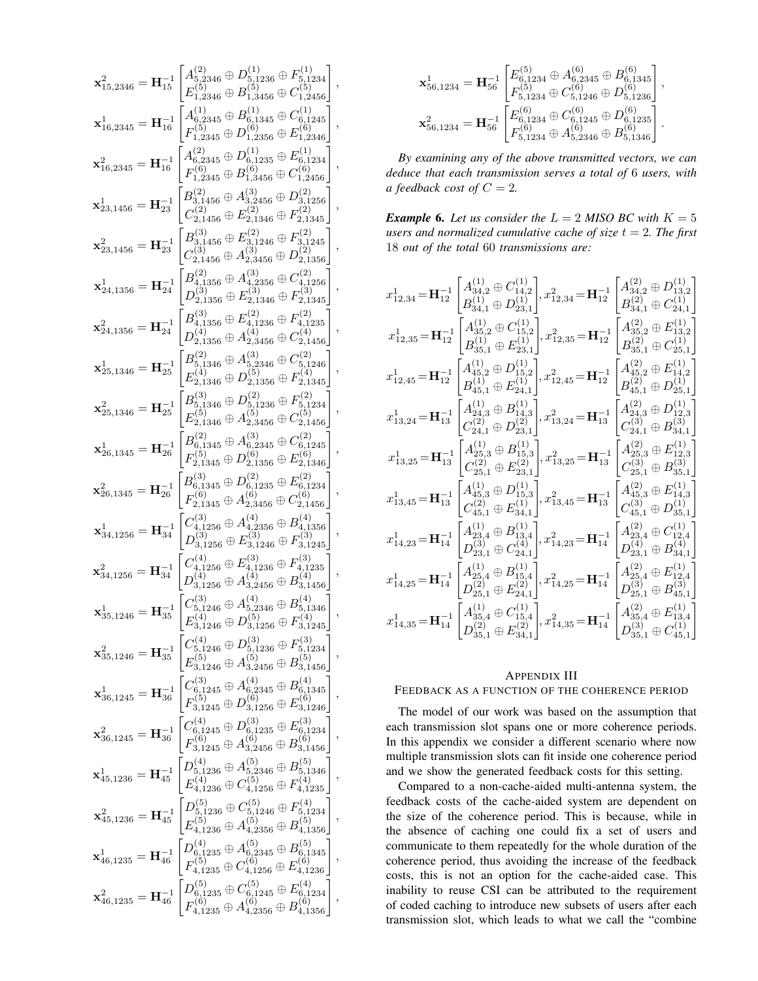$$
\begin{array}{c} {\bf x}^{2}_{15,2346}= {\bf H}_{15} \begin{bmatrix} A^{(2)}_{5,2346}\oplus D^{(1)}_{5,1236}\oplus P^{(1)}_{5,1234}\cr P^{(1)}_{15,2346}\oplus D^{(1)}_{1,2346}\oplus P^{(1)}_{1,2346}\oplus P^{(1)}_{1,2346}\cr P^{(1)}_{1,2345}\oplus D^{(1)}_{1,2356}\oplus P^{(1)}_{2,1246}\cr P^{(1)}_{1,2345}\oplus D^{(1)}_{1,2356}\oplus P^{(1)}_{2,1246}\cr P^{(1)}_{1,2345}\oplus D^{(1)}_{1,2356}\oplus P^{(1)}_{2,1256}\cr P^{(2)}_{2,1456}\oplus P^{(2)}_{2,1366}\oplus P^{(2)}_{2,1256}\cr P^{(2)}_{2,1456}\oplus P^{(2)}_{2,1366}\oplus P^{(2)}_{2,1366}\cr P^{(2)}_{2,1456}\oplus P^{(2)}_{2,1366}\oplus P^{(2)}_{2,1356}\cr P^{(2)}_{2,1456}\oplus P^{(2)}_{2,1366}\oplus P^{(2)}_{2,1356}\cr P^{(2)}_{2,1456}\oplus P^{(2)}_{2,1366}\oplus P^{(2)}_{2,1356}\cr P^{(2)}_{2,1456}\oplus P^{(2)}_{2,1366}\oplus P^{(2)}_{2,1356}\cr P^{(2)}_{2,1356}\oplus P^{(2)}_{2,1356}\cr P^{(2)}_{2,1356}\oplus P^{(2)}_{2,1356}\end{array}\mathbf{ x}^{2}_{24,1356}= \mathbf{H}_{24}^{-1}\begin{bmatrix} B^{(2)}_{6,1356}\oplus B^{(2)}_{6,1366}\oplus P^{(2)}_{2,1356}\cr P^{(2)}_{2,1356}\oplus P^{(2)}_{2,1356}\cr P^{(2)}_{2,1356}\oplus P^{(2)}_{2,1366}\oplus P^{(2)}_{2,1356}\cr P^{(2)}_{2,1356}\opl
$$

$$
\mathbf{x}_{56,1234}^1 = \mathbf{H}_{56}^{-1} \begin{bmatrix} E_{6,1234}^{(5)} \oplus A_{6,2345}^{(6)} \oplus B_{6,1345}^{(6)} \\ F_{5,1234}^{(5)} \oplus C_{5,1246}^{(6)} \oplus D_{5,1236}^{(6)} \\ \mathbf{x}_{56,1234}^2 = \mathbf{H}_{56}^{-1} \begin{bmatrix} E_{6,1234}^{(6)} \oplus C_{6,1245}^{(6)} \oplus D_{6,1235}^{(6)} \\ F_{5,1234}^{(6)} \oplus F_{6,1245}^{(6)} \oplus D_{5,1336}^{(6)} \\ \end{bmatrix}.
$$

*By examining any of the above transmitted vectors, we can deduce that each transmission serves a total of* 6 *users, with a feedback cost of*  $C = 2$ .

*Example* 6. Let us consider the  $L = 2$  MISO BC with  $K = 5$ *users and normalized cumulative cache of size* t = 2*. The first* 18 *out of the total* 60 *transmissions are:*

$$
\begin{aligned} &x_{12,34}^1 = \mathbf{H}_{12}^{-1} \begin{bmatrix} A_{34,2}^{(1)} \oplus C_{14,2}^{(1)} \\ B_{34,1}^{(1)} \oplus D_{23,1}^{(1)} \end{bmatrix}, x_{12,34}^2 = \mathbf{H}_{12}^{-1} \begin{bmatrix} A_{34,2}^{(2)} \oplus D_{13,2}^{(1)} \\ B_{34,1}^{(2)} \oplus C_{24,1}^{(1)} \end{bmatrix} \\ &x_{12,35}^1 = \mathbf{H}_{12}^{-1} \begin{bmatrix} A_{35,2}^{(1)} \oplus C_{15,2}^{(1)} \\ B_{35,1}^{(1)} \oplus E_{23,1}^{(1)} \end{bmatrix}, x_{12,35}^2 = \mathbf{H}_{12}^{-1} \begin{bmatrix} A_{35,2}^{(2)} \oplus E_{13,2}^{(1)} \\ B_{35,1}^{(2)} \oplus C_{25,1}^{(1)} \end{bmatrix} \\ &x_{12,45}^1 = \mathbf{H}_{12}^{-1} \begin{bmatrix} A_{45,2}^{(1)} \oplus D_{15,2}^{(1)} \\ B_{45,1}^{(1)} \oplus E_{24,1}^{(1)} \end{bmatrix}, x_{12,45}^2 = \mathbf{H}_{12}^{-1} \begin{bmatrix} A_{45,2}^{(2)} \oplus E_{13,2}^{(1)} \\ B_{45,1}^{(2)} \oplus D_{25,1}^{(1)} \end{bmatrix} \\ &x_{13,24}^1 = \mathbf{H}_{13}^{-1} \begin{bmatrix} A_{24,3}^{(1)} \oplus B_{14,3}^{(1)} \\ C_{24,1}^{(2)} \oplus D_{23,1}^{(2)} \end{bmatrix}, x_{13,24}^2 = \mathbf{H}_{13}^{-1} \begin{bmatrix} A_{23}^{(2)} \oplus E_{12,1}^{(1)} \\ B_{45,1}^{(3)} \oplus D_{25,1}^{(1)} \end{bmatrix} \\ &x_{13,25}^1 = \mathbf{H}_{13}^{-1} \begin{bmatrix} A_{25,3}^{(1)} \oplus B_{15,3}^{(1)} \\ C_{25,
$$

## APPENDIX III

# FEEDBACK AS A FUNCTION OF THE COHERENCE PERIOD

The model of our work was based on the assumption that each transmission slot spans one or more coherence periods. In this appendix we consider a different scenario where now multiple transmission slots can fit inside one coherence period and we show the generated feedback costs for this setting.

Compared to a non-cache-aided multi-antenna system, the feedback costs of the cache-aided system are dependent on the size of the coherence period. This is because, while in the absence of caching one could fix a set of users and communicate to them repeatedly for the whole duration of the coherence period, thus avoiding the increase of the feedback costs, this is not an option for the cache-aided case. This inability to reuse CSI can be attributed to the requirement of coded caching to introduce new subsets of users after each transmission slot, which leads to what we call the "combine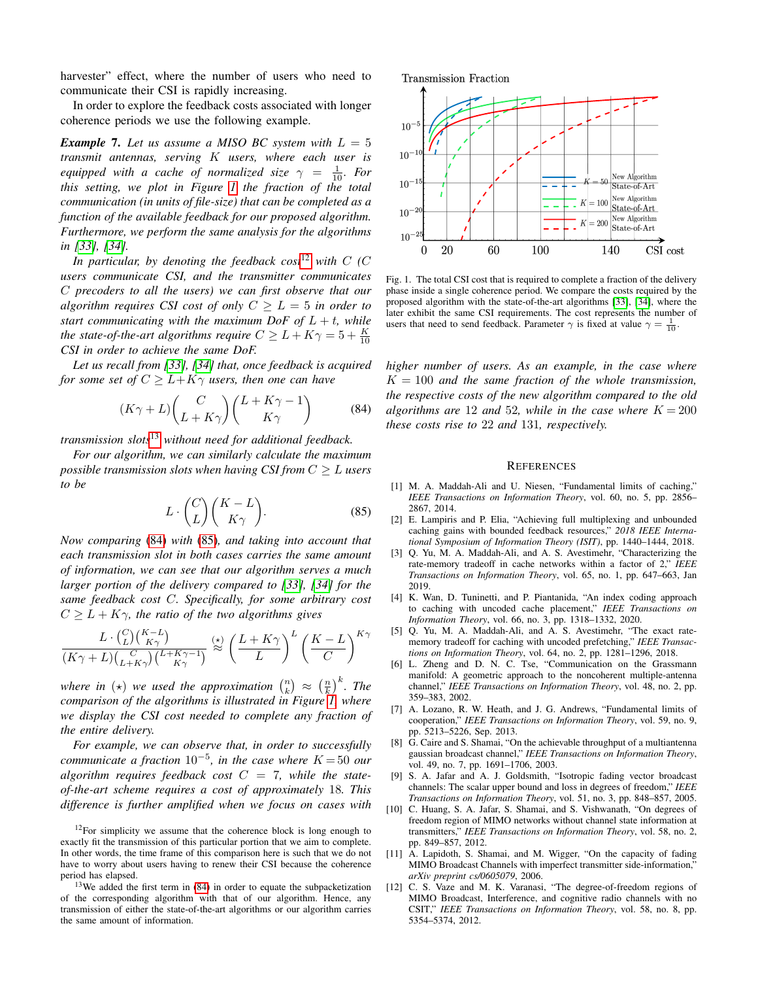harvester" effect, where the number of users who need to communicate their CSI is rapidly increasing.

In order to explore the feedback costs associated with longer coherence periods we use the following example.

**Example 7.** Let us assume a MISO BC system with  $L = 5$ *transmit antennas, serving* K *users, where each user is equipped with a cache of normalized size*  $\gamma = \frac{1}{10}$ *. For this setting, we plot in Figure [1](#page-15-8) the fraction of the total communication (in units of file-size) that can be completed as a function of the available feedback for our proposed algorithm. Furthermore, we perform the same analysis for the algorithms in [\[33\]](#page-16-11), [\[34\]](#page-16-12).*

*In particular, by denoting the feedback cost*<sup>[12](#page-15-9)</sup> *with*  $C$  (C *users communicate CSI, and the transmitter communicates* C *precoders to all the users) we can first observe that our algorithm requires CSI cost of only*  $C \geq L = 5$  *in order to start communicating with the maximum DoF of*  $L + t$ *, while the state-of-the-art algorithms require*  $C \geq L + K\gamma = 5 + \frac{K}{10}$ *CSI in order to achieve the same DoF.*

*Let us recall from [\[33\]](#page-16-11), [\[34\]](#page-16-12) that, once feedback is acquired for some set of*  $C \geq L + K\gamma$  *users, then one can have* 

$$
(K\gamma + L)\binom{C}{L+K\gamma}\binom{L+K\gamma-1}{K\gamma} \tag{84}
$$

*transmission slots*[13](#page-15-10) *without need for additional feedback.*

*For our algorithm, we can similarly calculate the maximum possible transmission slots when having CSI from*  $C \geq L$  *users to be*

$$
L \cdot \binom{C}{L} \binom{K - L}{K\gamma}.
$$
 (85)

*Now comparing* [\(84\)](#page-15-11) *with* [\(85\)](#page-15-12)*, and taking into account that each transmission slot in both cases carries the same amount of information, we can see that our algorithm serves a much larger portion of the delivery compared to [\[33\]](#page-16-11), [\[34\]](#page-16-12) for the same feedback cost* C*. Specifically, for some arbitrary cost*  $C \geq L + K\gamma$ , the ratio of the two algorithms gives

$$
\frac{L \cdot {C \choose L} {K \gamma \choose K \gamma}}{(K \gamma + L) {C \choose L+K \gamma} {L+K \gamma -1 \choose K \gamma}} \overset{(\star)}{\approx} \left(\frac{L+K \gamma}{L}\right)^L \left(\frac{K-L}{C}\right)^{K \gamma}
$$

where in  $(\star)$  we used the approximation  $\binom{n}{k} \approx \left(\frac{n}{k}\right)^k$ . The *comparison of the algorithms is illustrated in Figure [1,](#page-15-8) where we display the CSI cost needed to complete any fraction of the entire delivery.*

*For example, we can observe that, in order to successfully communicate a fraction* 10<sup>−</sup><sup>5</sup> *, in the case where* K = 50 *our* algorithm requires feedback cost  $C = 7$ , while the state*of-the-art scheme requires a cost of approximately* 18*. This difference is further amplified when we focus on cases with*



<span id="page-15-8"></span>Fig. 1. The total CSI cost that is required to complete a fraction of the delivery phase inside a single coherence period. We compare the costs required by the proposed algorithm with the state-of-the-art algorithms [\[33\]](#page-16-11), [\[34\]](#page-16-12), where the later exhibit the same CSI requirements. The cost represents the number of users that need to send feedback. Parameter  $\gamma$  is fixed at value  $\gamma = \frac{1}{10}$ .

<span id="page-15-11"></span>*higher number of users. As an example, in the case where*  $K = 100$  *and the same fraction of the whole transmission, the respective costs of the new algorithm compared to the old algorithms are* 12 *and* 52*, while in the case where*  $K = 200$ *these costs rise to* 22 *and* 131*, respectively.*

#### **REFERENCES**

- <span id="page-15-12"></span><span id="page-15-0"></span>[1] M. A. Maddah-Ali and U. Niesen, "Fundamental limits of caching," *IEEE Transactions on Information Theory*, vol. 60, no. 5, pp. 2856– 2867, 2014.
- <span id="page-15-1"></span>[2] E. Lampiris and P. Elia, "Achieving full multiplexing and unbounded caching gains with bounded feedback resources," *2018 IEEE International Symposium of Information Theory (ISIT)*, pp. 1440–1444, 2018.
- <span id="page-15-2"></span>[3] Q. Yu, M. A. Maddah-Ali, and A. S. Avestimehr, "Characterizing the rate-memory tradeoff in cache networks within a factor of 2," *IEEE Transactions on Information Theory*, vol. 65, no. 1, pp. 647–663, Jan 2019.
- <span id="page-15-3"></span>[4] K. Wan, D. Tuninetti, and P. Piantanida, "An index coding approach to caching with uncoded cache placement," *IEEE Transactions on Information Theory*, vol. 66, no. 3, pp. 1318–1332, 2020.
- <span id="page-15-4"></span>[5] Q. Yu, M. A. Maddah-Ali, and A. S. Avestimehr, "The exact ratememory tradeoff for caching with uncoded prefetching," *IEEE Transactions on Information Theory*, vol. 64, no. 2, pp. 1281–1296, 2018.
- <span id="page-15-5"></span>[6] L. Zheng and D. N. C. Tse, "Communication on the Grassmann manifold: A geometric approach to the noncoherent multiple-antenna channel," *IEEE Transactions on Information Theory*, vol. 48, no. 2, pp. 359–383, 2002.
- <span id="page-15-6"></span>[7] A. Lozano, R. W. Heath, and J. G. Andrews, "Fundamental limits of cooperation," *IEEE Transactions on Information Theory*, vol. 59, no. 9, pp. 5213–5226, Sep. 2013.
- <span id="page-15-7"></span>[8] G. Caire and S. Shamai, "On the achievable throughput of a multiantenna gaussian broadcast channel," *IEEE Transactions on Information Theory*, vol. 49, no. 7, pp. 1691–1706, 2003.
- [9] S. A. Jafar and A. J. Goldsmith, "Isotropic fading vector broadcast channels: The scalar upper bound and loss in degrees of freedom," *IEEE Transactions on Information Theory*, vol. 51, no. 3, pp. 848–857, 2005.
- [10] C. Huang, S. A. Jafar, S. Shamai, and S. Vishwanath, "On degrees of freedom region of MIMO networks without channel state information at transmitters," *IEEE Transactions on Information Theory*, vol. 58, no. 2, pp. 849–857, 2012.
- [11] A. Lapidoth, S. Shamai, and M. Wigger, "On the capacity of fading MIMO Broadcast Channels with imperfect transmitter side-information," *arXiv preprint cs/0605079*, 2006.
- [12] C. S. Vaze and M. K. Varanasi, "The degree-of-freedom regions of MIMO Broadcast, Interference, and cognitive radio channels with no CSIT," *IEEE Transactions on Information Theory*, vol. 58, no. 8, pp. 5354–5374, 2012.

<span id="page-15-9"></span> $12$ For simplicity we assume that the coherence block is long enough to exactly fit the transmission of this particular portion that we aim to complete. In other words, the time frame of this comparison here is such that we do not have to worry about users having to renew their CSI because the coherence period has elapsed.

<span id="page-15-10"></span><sup>&</sup>lt;sup>13</sup>We added the first term in [\(84\)](#page-15-11) in order to equate the subpacketization of the corresponding algorithm with that of our algorithm. Hence, any transmission of either the state-of-the-art algorithms or our algorithm carries the same amount of information.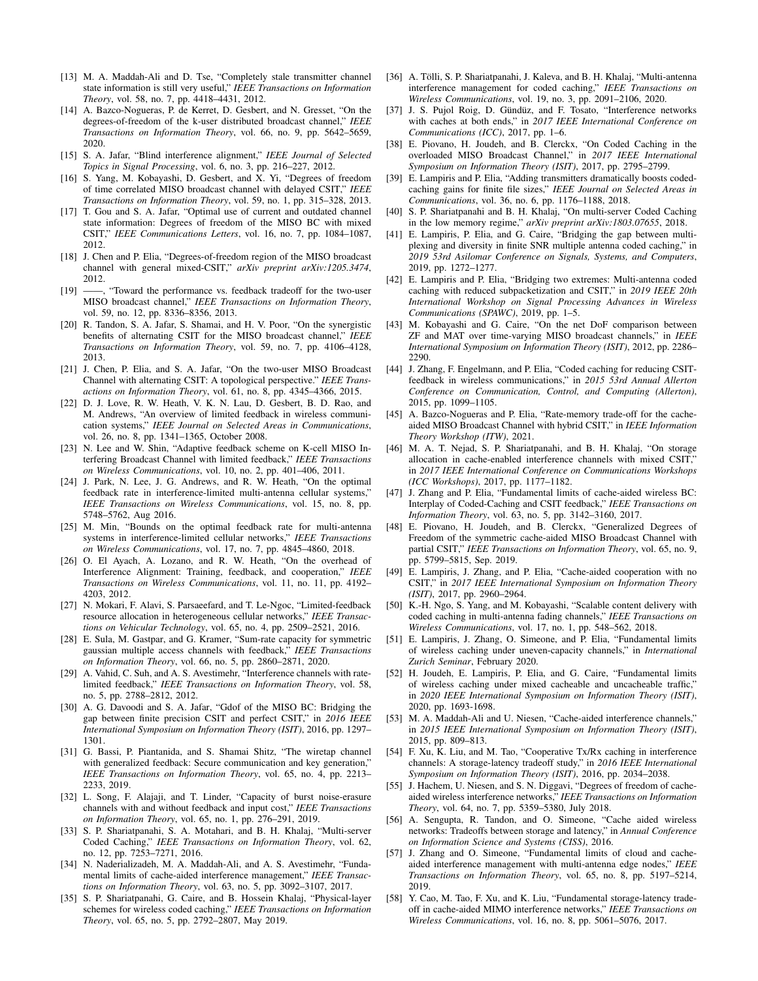- [13] M. A. Maddah-Ali and D. Tse, "Completely stale transmitter channel state information is still very useful," *IEEE Transactions on Information Theory*, vol. 58, no. 7, pp. 4418–4431, 2012.
- [14] A. Bazco-Nogueras, P. de Kerret, D. Gesbert, and N. Gresset, "On the degrees-of-freedom of the k-user distributed broadcast channel," *IEEE Transactions on Information Theory*, vol. 66, no. 9, pp. 5642–5659, 2020.
- [15] S. A. Jafar, "Blind interference alignment," *IEEE Journal of Selected Topics in Signal Processing*, vol. 6, no. 3, pp. 216–227, 2012.
- [16] S. Yang, M. Kobayashi, D. Gesbert, and X. Yi, "Degrees of freedom of time correlated MISO broadcast channel with delayed CSIT," *IEEE Transactions on Information Theory*, vol. 59, no. 1, pp. 315–328, 2013.
- [17] T. Gou and S. A. Jafar, "Optimal use of current and outdated channel state information: Degrees of freedom of the MISO BC with mixed CSIT," *IEEE Communications Letters*, vol. 16, no. 7, pp. 1084–1087, 2012.
- [18] J. Chen and P. Elia, "Degrees-of-freedom region of the MISO broadcast channel with general mixed-CSIT," *arXiv preprint arXiv:1205.3474*, 2012.
- [19] ——, "Toward the performance vs. feedback tradeoff for the two-user MISO broadcast channel," *IEEE Transactions on Information Theory*, vol. 59, no. 12, pp. 8336–8356, 2013.
- [20] R. Tandon, S. A. Jafar, S. Shamai, and H. V. Poor, "On the synergistic benefits of alternating CSIT for the MISO broadcast channel," *IEEE Transactions on Information Theory*, vol. 59, no. 7, pp. 4106–4128, 2013.
- <span id="page-16-0"></span>[21] J. Chen, P. Elia, and S. A. Jafar, "On the two-user MISO Broadcast Channel with alternating CSIT: A topological perspective." *IEEE Transactions on Information Theory*, vol. 61, no. 8, pp. 4345–4366, 2015.
- <span id="page-16-1"></span>[22] D. J. Love, R. W. Heath, V. K. N. Lau, D. Gesbert, B. D. Rao, and M. Andrews, "An overview of limited feedback in wireless communication systems," *IEEE Journal on Selected Areas in Communications*, vol. 26, no. 8, pp. 1341–1365, October 2008.
- <span id="page-16-2"></span>[23] N. Lee and W. Shin, "Adaptive feedback scheme on K-cell MISO Interfering Broadcast Channel with limited feedback," *IEEE Transactions on Wireless Communications*, vol. 10, no. 2, pp. 401–406, 2011.
- [24] J. Park, N. Lee, J. G. Andrews, and R. W. Heath, "On the optimal feedback rate in interference-limited multi-antenna cellular systems," *IEEE Transactions on Wireless Communications*, vol. 15, no. 8, pp. 5748–5762, Aug 2016.
- <span id="page-16-3"></span>[25] M. Min, "Bounds on the optimal feedback rate for multi-antenna systems in interference-limited cellular networks," *IEEE Transactions on Wireless Communications*, vol. 17, no. 7, pp. 4845–4860, 2018.
- <span id="page-16-4"></span>[26] O. El Ayach, A. Lozano, and R. W. Heath, "On the overhead of Interference Alignment: Training, feedback, and cooperation," *IEEE Transactions on Wireless Communications*, vol. 11, no. 11, pp. 4192– 4203, 2012.
- <span id="page-16-5"></span>[27] N. Mokari, F. Alavi, S. Parsaeefard, and T. Le-Ngoc, "Limited-feedback resource allocation in heterogeneous cellular networks," *IEEE Transactions on Vehicular Technology*, vol. 65, no. 4, pp. 2509–2521, 2016.
- <span id="page-16-6"></span>[28] E. Sula, M. Gastpar, and G. Kramer, "Sum-rate capacity for symmetric gaussian multiple access channels with feedback," *IEEE Transactions on Information Theory*, vol. 66, no. 5, pp. 2860–2871, 2020.
- <span id="page-16-7"></span>[29] A. Vahid, C. Suh, and A. S. Avestimehr, "Interference channels with ratelimited feedback," *IEEE Transactions on Information Theory*, vol. 58, no. 5, pp. 2788–2812, 2012.
- <span id="page-16-8"></span>[30] A. G. Davoodi and S. A. Jafar, "Gdof of the MISO BC: Bridging the gap between finite precision CSIT and perfect CSIT," in *2016 IEEE International Symposium on Information Theory (ISIT)*, 2016, pp. 1297– 1301.
- <span id="page-16-9"></span>[31] G. Bassi, P. Piantanida, and S. Shamai Shitz, "The wiretap channel with generalized feedback: Secure communication and key generation," *IEEE Transactions on Information Theory*, vol. 65, no. 4, pp. 2213– 2233, 2019.
- <span id="page-16-10"></span>[32] L. Song, F. Alajaji, and T. Linder, "Capacity of burst noise-erasure channels with and without feedback and input cost," *IEEE Transactions on Information Theory*, vol. 65, no. 1, pp. 276–291, 2019.
- <span id="page-16-11"></span>[33] S. P. Shariatpanahi, S. A. Motahari, and B. H. Khalaj, "Multi-server Coded Caching," *IEEE Transactions on Information Theory*, vol. 62, no. 12, pp. 7253–7271, 2016.
- <span id="page-16-12"></span>[34] N. Naderializadeh, M. A. Maddah-Ali, and A. S. Avestimehr, "Fundamental limits of cache-aided interference management," *IEEE Transactions on Information Theory*, vol. 63, no. 5, pp. 3092–3107, 2017.
- <span id="page-16-13"></span>[35] S. P. Shariatpanahi, G. Caire, and B. Hossein Khalaj, "Physical-layer schemes for wireless coded caching," *IEEE Transactions on Information Theory*, vol. 65, no. 5, pp. 2792–2807, May 2019.
- <span id="page-16-15"></span>[36] A. Tölli, S. P. Shariatpanahi, J. Kaleva, and B. H. Khalaj, "Multi-antenna interference management for coded caching," *IEEE Transactions on Wireless Communications*, vol. 19, no. 3, pp. 2091–2106, 2020.
- <span id="page-16-26"></span>[37] J. S. Pujol Roig, D. Gündüz, and F. Tosato, "Interference networks with caches at both ends," in *2017 IEEE International Conference on Communications (ICC)*, 2017, pp. 1–6.
- <span id="page-16-17"></span>[38] E. Piovano, H. Joudeh, and B. Clerckx, "On Coded Caching in the overloaded MISO Broadcast Channel," in *2017 IEEE International Symposium on Information Theory (ISIT)*, 2017, pp. 2795–2799.
- <span id="page-16-29"></span>[39] E. Lampiris and P. Elia, "Adding transmitters dramatically boosts codedcaching gains for finite file sizes," *IEEE Journal on Selected Areas in Communications*, vol. 36, no. 6, pp. 1176–1188, 2018.
- [40] S. P. Shariatpanahi and B. H. Khalaj, "On multi-server Coded Caching in the low memory regime," *arXiv preprint arXiv:1803.07655*, 2018.
- <span id="page-16-28"></span>[41] E. Lampiris, P. Elia, and G. Caire, "Bridging the gap between multiplexing and diversity in finite SNR multiple antenna coded caching," in *2019 53rd Asilomar Conference on Signals, Systems, and Computers*, 2019, pp. 1272–1277.
- <span id="page-16-14"></span>[42] E. Lampiris and P. Elia, "Bridging two extremes: Multi-antenna coded caching with reduced subpacketization and CSIT," in *2019 IEEE 20th International Workshop on Signal Processing Advances in Wireless Communications (SPAWC)*, 2019, pp. 1–5.
- <span id="page-16-16"></span>[43] M. Kobayashi and G. Caire, "On the net DoF comparison between ZF and MAT over time-varying MISO broadcast channels," in *IEEE International Symposium on Information Theory (ISIT)*, 2012, pp. 2286– 2290.
- <span id="page-16-18"></span>[44] J. Zhang, F. Engelmann, and P. Elia, "Coded caching for reducing CSITfeedback in wireless communications," in *2015 53rd Annual Allerton Conference on Communication, Control, and Computing (Allerton)*, 2015, pp. 1099–1105.
- <span id="page-16-19"></span>[45] A. Bazco-Nogueras and P. Elia, "Rate-memory trade-off for the cacheaided MISO Broadcast Channel with hybrid CSIT," in *IEEE Information Theory Workshop (ITW)*, 2021.
- <span id="page-16-20"></span>[46] M. A. T. Nejad, S. P. Shariatpanahi, and B. H. Khalaj, "On storage allocation in cache-enabled interference channels with mixed CSIT," in *2017 IEEE International Conference on Communications Workshops (ICC Workshops)*, 2017, pp. 1177–1182.
- [47] J. Zhang and P. Elia, "Fundamental limits of cache-aided wireless BC: Interplay of Coded-Caching and CSIT feedback," *IEEE Transactions on Information Theory*, vol. 63, no. 5, pp. 3142–3160, 2017.
- <span id="page-16-21"></span>[48] E. Piovano, H. Joudeh, and B. Clerckx, "Generalized Degrees of Freedom of the symmetric cache-aided MISO Broadcast Channel with partial CSIT," *IEEE Transactions on Information Theory*, vol. 65, no. 9, pp. 5799–5815, Sep. 2019.
- <span id="page-16-22"></span>[49] E. Lampiris, J. Zhang, and P. Elia, "Cache-aided cooperation with no CSIT," in *2017 IEEE International Symposium on Information Theory (ISIT)*, 2017, pp. 2960–2964.
- <span id="page-16-23"></span>[50] K.-H. Ngo, S. Yang, and M. Kobayashi, "Scalable content delivery with coded caching in multi-antenna fading channels," *IEEE Transactions on Wireless Communications*, vol. 17, no. 1, pp. 548–562, 2018.
- <span id="page-16-24"></span>[51] E. Lampiris, J. Zhang, O. Simeone, and P. Elia, "Fundamental limits of wireless caching under uneven-capacity channels," in *International Zurich Seminar*, February 2020.
- <span id="page-16-25"></span>[52] H. Joudeh, E. Lampiris, P. Elia, and G. Caire, "Fundamental limits of wireless caching under mixed cacheable and uncacheable traffic," in *2020 IEEE International Symposium on Information Theory (ISIT)*, 2020, pp. 1693-1698.
- <span id="page-16-27"></span>[53] M. A. Maddah-Ali and U. Niesen, "Cache-aided interference channels," in *2015 IEEE International Symposium on Information Theory (ISIT)*, 2015, pp. 809–813.
- [54] F. Xu, K. Liu, and M. Tao, "Cooperative Tx/Rx caching in interference channels: A storage-latency tradeoff study," in *2016 IEEE International Symposium on Information Theory (ISIT)*, 2016, pp. 2034–2038.
- [55] J. Hachem, U. Niesen, and S. N. Diggavi, "Degrees of freedom of cacheaided wireless interference networks," *IEEE Transactions on Information Theory*, vol. 64, no. 7, pp. 5359–5380, July 2018.
- [56] A. Sengupta, R. Tandon, and O. Simeone, "Cache aided wireless networks: Tradeoffs between storage and latency," in *Annual Conference on Information Science and Systems (CISS)*, 2016.
- [57] J. Zhang and O. Simeone, "Fundamental limits of cloud and cacheaided interference management with multi-antenna edge nodes," *IEEE Transactions on Information Theory*, vol. 65, no. 8, pp. 5197–5214, 2019.
- [58] Y. Cao, M. Tao, F. Xu, and K. Liu, "Fundamental storage-latency tradeoff in cache-aided MIMO interference networks," *IEEE Transactions on Wireless Communications*, vol. 16, no. 8, pp. 5061–5076, 2017.